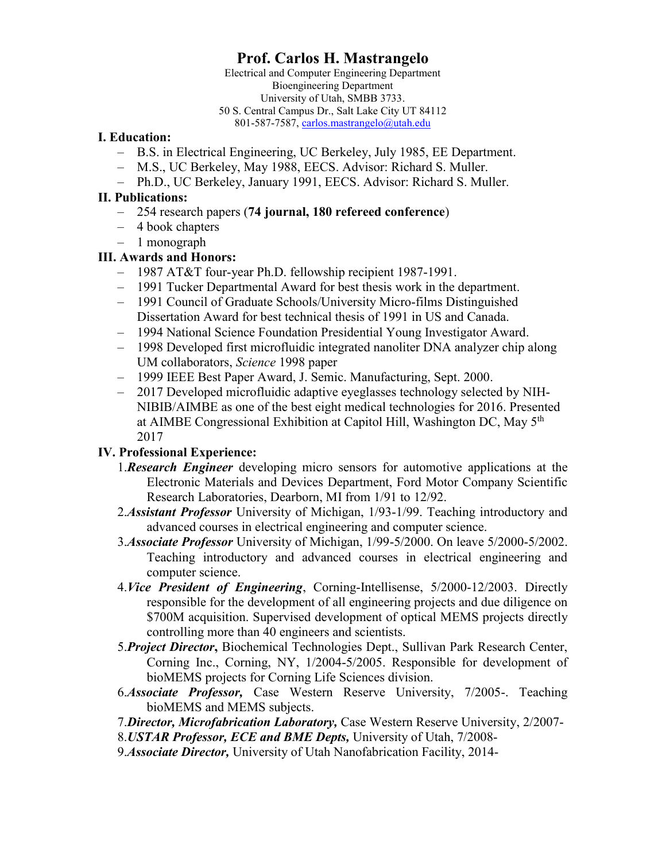# **Prof. Carlos H. Mastrangelo**

Electrical and Computer Engineering Department Bioengineering Department University of Utah, SMBB 3733. 50 S. Central Campus Dr., Salt Lake City UT 84112 801-587-7587[, carlos.mastrangelo@utah.edu](mailto:carlos.mastrangelo@utah.edu)

#### **I. Education:**

- B.S. in Electrical Engineering, UC Berkeley, July 1985, EE Department.
- M.S., UC Berkeley, May 1988, EECS. Advisor: Richard S. Muller.
- Ph.D., UC Berkeley, January 1991, EECS. Advisor: Richard S. Muller.

## **II. Publications:**

- 254 research papers (**74 journal, 180 refereed conference**)
- 4 book chapters
- 1 monograph

## **III. Awards and Honors:**

- 1987 AT&T four-year Ph.D. fellowship recipient 1987-1991.
- 1991 Tucker Departmental Award for best thesis work in the department.
- 1991 Council of Graduate Schools/University Micro-films Distinguished Dissertation Award for best technical thesis of 1991 in US and Canada.
- 1994 National Science Foundation Presidential Young Investigator Award.
- 1998 Developed first microfluidic integrated nanoliter DNA analyzer chip along UM collaborators, *Science* 1998 paper
- 1999 IEEE Best Paper Award, J. Semic. Manufacturing, Sept. 2000.
- 2017 Developed microfluidic adaptive eyeglasses technology selected by NIH-NIBIB/AIMBE as one of the best eight medical technologies for 2016. Presented at AIMBE Congressional Exhibition at Capitol Hill, Washington DC, May 5<sup>th</sup> 2017

## **IV. Professional Experience:**

- 1.*Research Engineer* developing micro sensors for automotive applications at the Electronic Materials and Devices Department, Ford Motor Company Scientific Research Laboratories, Dearborn, MI from 1/91 to 12/92.
- 2.*Assistant Professor* University of Michigan, 1/93-1/99. Teaching introductory and advanced courses in electrical engineering and computer science.
- 3.*Associate Professor* University of Michigan, 1/99-5/2000. On leave 5/2000-5/2002. Teaching introductory and advanced courses in electrical engineering and computer science.
- 4.*Vice President of Engineering*, Corning-Intellisense, 5/2000-12/2003. Directly responsible for the development of all engineering projects and due diligence on \$700M acquisition. Supervised development of optical MEMS projects directly controlling more than 40 engineers and scientists.
- 5.*Project Director***,** Biochemical Technologies Dept., Sullivan Park Research Center, Corning Inc., Corning, NY, 1/2004-5/2005. Responsible for development of bioMEMS projects for Corning Life Sciences division.
- 6.*Associate Professor,* Case Western Reserve University, 7/2005-. Teaching bioMEMS and MEMS subjects.
- 7.*Director, Microfabrication Laboratory,* Case Western Reserve University, 2/2007-
- 8.*USTAR Professor, ECE and BME Depts,* University of Utah, 7/2008-
- 9.*Associate Director,* University of Utah Nanofabrication Facility, 2014-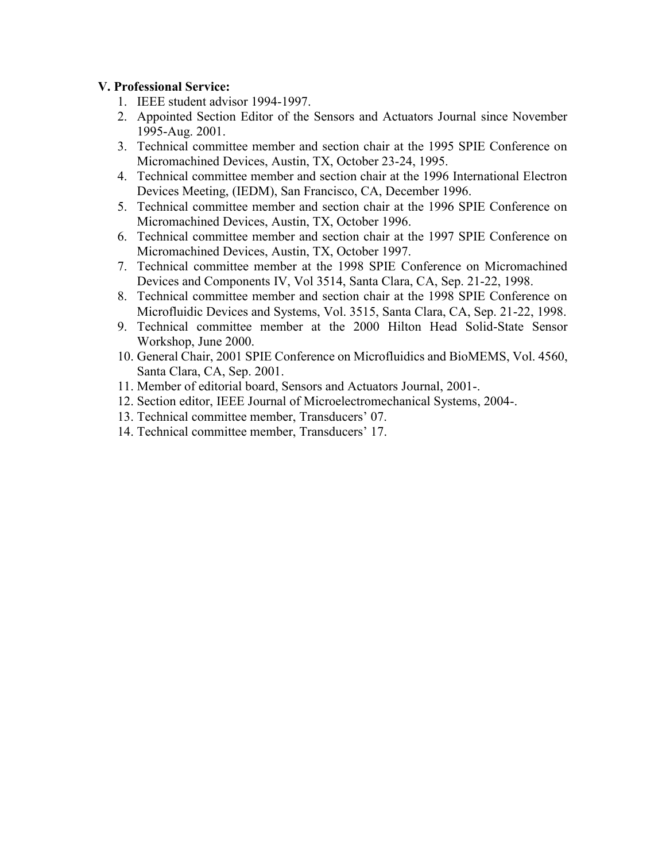## **V. Professional Service:**

- 1. IEEE student advisor 1994-1997.
- 2. Appointed Section Editor of the Sensors and Actuators Journal since November 1995-Aug. 2001.
- 3. Technical committee member and section chair at the 1995 SPIE Conference on Micromachined Devices, Austin, TX, October 23-24, 1995.
- 4. Technical committee member and section chair at the 1996 International Electron Devices Meeting, (IEDM), San Francisco, CA, December 1996.
- 5. Technical committee member and section chair at the 1996 SPIE Conference on Micromachined Devices, Austin, TX, October 1996.
- 6. Technical committee member and section chair at the 1997 SPIE Conference on Micromachined Devices, Austin, TX, October 1997.
- 7. Technical committee member at the 1998 SPIE Conference on Micromachined Devices and Components IV, Vol 3514, Santa Clara, CA, Sep. 21-22, 1998.
- 8. Technical committee member and section chair at the 1998 SPIE Conference on Microfluidic Devices and Systems, Vol. 3515, Santa Clara, CA, Sep. 21-22, 1998.
- 9. Technical committee member at the 2000 Hilton Head Solid-State Sensor Workshop, June 2000.
- 10. General Chair, 2001 SPIE Conference on Microfluidics and BioMEMS, Vol. 4560, Santa Clara, CA, Sep. 2001.
- 11. Member of editorial board, Sensors and Actuators Journal, 2001-.
- 12. Section editor, IEEE Journal of Microelectromechanical Systems, 2004-.
- 13. Technical committee member, Transducers' 07.
- 14. Technical committee member, Transducers' 17.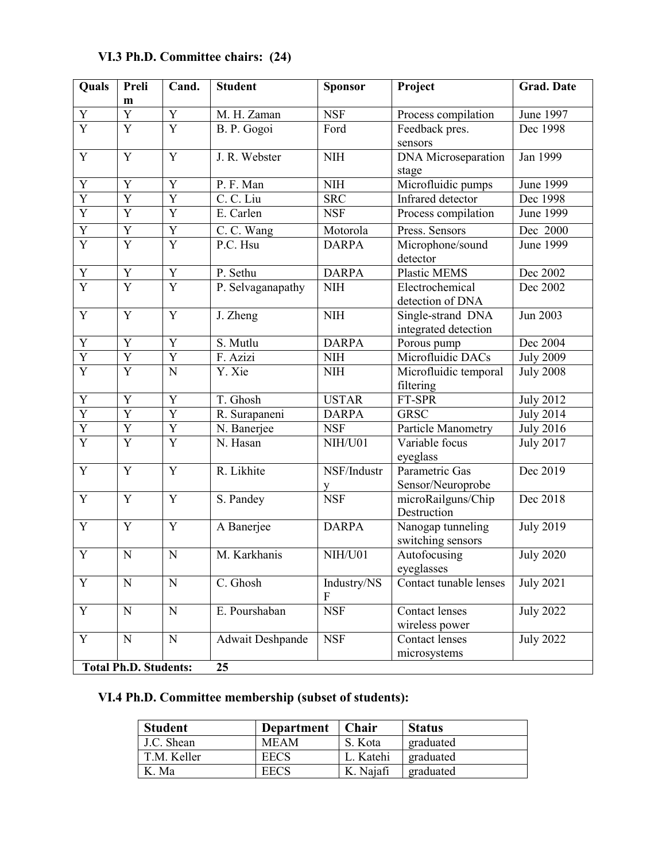| Quals<br>Preli |                           | Cand.                   | <b>Student</b>    | <b>Sponsor</b> | Project                    | <b>Grad. Date</b> |  |
|----------------|---------------------------|-------------------------|-------------------|----------------|----------------------------|-------------------|--|
|                | m                         |                         |                   |                |                            |                   |  |
| Y              | $\overline{Y}$            | $\overline{Y}$          | M. H. Zaman       | <b>NSF</b>     | Process compilation        | June 1997         |  |
| $\overline{Y}$ | $\overline{Y}$            | $\overline{Y}$          | B. P. Gogoi       | Ford           | Feedback pres.             | Dec 1998          |  |
|                |                           |                         |                   |                | sensors                    |                   |  |
| $\overline{Y}$ | $\overline{Y}$            | Y                       | J. R. Webster     | $\rm NIH$      | <b>DNA</b> Microseparation | Jan 1999          |  |
|                |                           |                         |                   |                | stage                      |                   |  |
| $\overline{Y}$ | $\overline{Y}$            | Y                       | P. F. Man         | <b>NIH</b>     | Microfluidic pumps         | June 1999         |  |
| $\overline{Y}$ | $\overline{Y}$            | $\overline{\mathrm{Y}}$ | C. C. Liu         | <b>SRC</b>     | Infrared detector          | Dec 1998          |  |
| $\overline{Y}$ | $\overline{Y}$            | Y                       | E. Carlen         | <b>NSF</b>     | Process compilation        | June 1999         |  |
| $\overline{Y}$ | $\overline{Y}$            | Y                       | C. C. Wang        | Motorola       | Press. Sensors             | Dec 2000          |  |
| $\overline{Y}$ | $\overline{Y}$            | $\overline{Y}$          | P.C. Hsu          | <b>DARPA</b>   | Microphone/sound           | June 1999         |  |
|                |                           |                         |                   |                | detector                   |                   |  |
| Y              | Y                         | Y                       | P. Sethu          | <b>DARPA</b>   | Plastic MEMS               | Dec 2002          |  |
| $\overline{Y}$ | $\overline{Y}$            | $\overline{Y}$          | P. Selvaganapathy | $\text{NIH}$   | Electrochemical            | Dec 2002          |  |
|                |                           |                         |                   |                | detection of DNA           |                   |  |
| Y              | $\overline{Y}$            | Y                       | J. Zheng          | <b>NIH</b>     | Single-strand DNA          | Jun 2003          |  |
|                |                           |                         |                   |                | integrated detection       |                   |  |
| Y              | Y                         | Y                       | S. Mutlu          | <b>DARPA</b>   | Porous pump                | Dec 2004          |  |
| $\overline{Y}$ | $\overline{Y}$            | Y                       | F. Azizi          | <b>NIH</b>     | Microfluidic DACs          | <b>July 2009</b>  |  |
| $\overline{Y}$ | $\overline{Y}$            | N                       | Y. Xie            | <b>NIH</b>     | Microfluidic temporal      | <b>July 2008</b>  |  |
|                |                           |                         |                   |                | filtering                  |                   |  |
| $\overline{Y}$ | $\overline{Y}$            | Y                       | T. Ghosh          | <b>USTAR</b>   | FT-SPR                     | <b>July 2012</b>  |  |
| $\overline{Y}$ | $\overline{Y}$            | Y                       | R. Surapaneni     | <b>DARPA</b>   | <b>GRSC</b>                | <b>July 2014</b>  |  |
| $\overline{Y}$ | $\mathbf Y$               | $\mathbf Y$             | N. Banerjee       | <b>NSF</b>     | Particle Manometry         | <b>July 2016</b>  |  |
| $\overline{Y}$ | $\overline{\overline{Y}}$ | $\overline{Y}$          | N. Hasan          | NIH/U01        | Variable focus             | <b>July 2017</b>  |  |
|                |                           |                         |                   |                | eyeglass                   |                   |  |
| $\mathbf Y$    | $\mathbf Y$               | Y                       | R. Likhite        | NSF/Industr    | Parametric Gas             | Dec 2019          |  |
|                |                           |                         |                   | y              | Sensor/Neuroprobe          |                   |  |
| Y              | $\mathbf Y$               | Y                       | S. Pandey         | <b>NSF</b>     | microRailguns/Chip         | Dec 2018          |  |
|                |                           |                         |                   |                | Destruction                |                   |  |
| $\overline{Y}$ | $\overline{Y}$            | Y                       | A Banerjee        | <b>DARPA</b>   | Nanogap tunneling          | <b>July 2019</b>  |  |
|                |                           |                         |                   |                | switching sensors          |                   |  |
| $\mathbf Y$    | $\mathbf N$               | $\mathbf N$             | M. Karkhanis      | NIH/U01        | Autofocusing               | <b>July 2020</b>  |  |
|                |                           |                         |                   |                | eyeglasses                 |                   |  |
| $\overline{Y}$ | $\mathbf N$               | N                       | C. Ghosh          | Industry/NS    | Contact tunable lenses     | <b>July 2021</b>  |  |
|                |                           |                         |                   | F              |                            |                   |  |
| $\mathbf Y$    | ${\bf N}$                 | ${\bf N}$               | E. Pourshaban     | <b>NSF</b>     | <b>Contact lenses</b>      | <b>July 2022</b>  |  |
|                |                           |                         |                   |                | wireless power             |                   |  |
| Y              | ${\bf N}$                 | ${\bf N}$               | Adwait Deshpande  | <b>NSF</b>     | <b>Contact lenses</b>      | <b>July 2022</b>  |  |
|                |                           |                         |                   |                | microsystems               |                   |  |

# **VI.3 Ph.D. Committee chairs: (24)**

**Total Ph.D. Students: 25**

# **VI.4 Ph.D. Committee membership (subset of students):**

| <b>Student</b> | <b>Department</b> | Chair     | <b>Status</b> |
|----------------|-------------------|-----------|---------------|
| J.C. Shean     | <b>MEAM</b>       | S. Kota   | graduated     |
| T.M. Keller    | <b>EECS</b>       | L. Katehi | graduated     |
| K. Ma          | <b>EECS</b>       | K. Najafi | graduated     |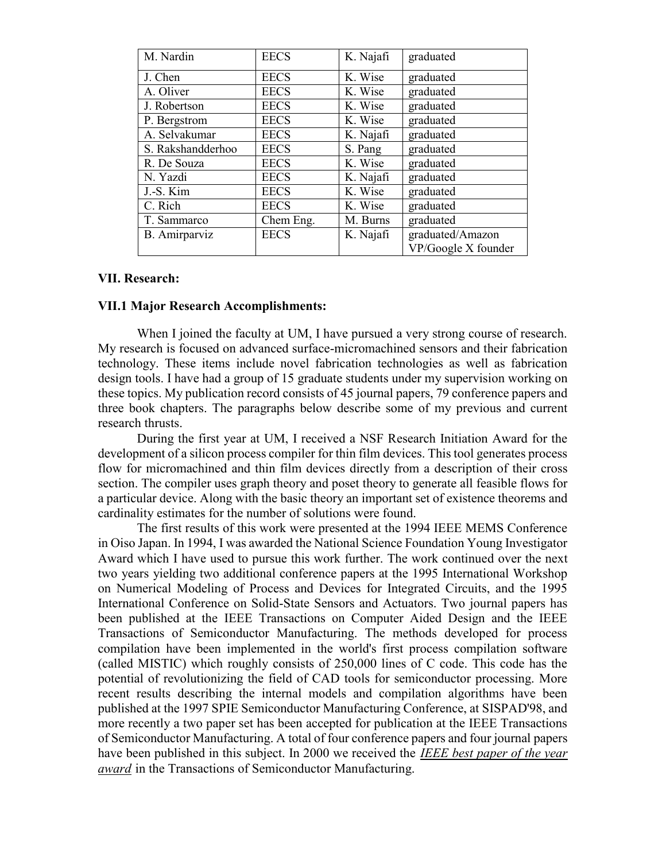| M. Nardin         | <b>EECS</b> | K. Najafi | graduated           |
|-------------------|-------------|-----------|---------------------|
| J. Chen           | <b>EECS</b> | K. Wise   | graduated           |
| A. Oliver         | <b>EECS</b> | K. Wise   | graduated           |
| J. Robertson      | <b>EECS</b> | K. Wise   | graduated           |
| P. Bergstrom      | <b>EECS</b> | K. Wise   | graduated           |
| A. Selvakumar     | <b>EECS</b> | K. Najafi | graduated           |
| S. Rakshandderhoo | <b>EECS</b> | S. Pang   | graduated           |
| R. De Souza       | <b>EECS</b> | K. Wise   | graduated           |
| N. Yazdi          | <b>EECS</b> | K. Najafi | graduated           |
| J.-S. Kim         | <b>EECS</b> | K. Wise   | graduated           |
| C. Rich           | <b>EECS</b> | K. Wise   | graduated           |
| T. Sammarco       | Chem Eng.   | M. Burns  | graduated           |
| B. Amirparviz     | <b>EECS</b> | K. Najafi | graduated/Amazon    |
|                   |             |           | VP/Google X founder |

#### **VII. Research:**

#### **VII.1 Major Research Accomplishments:**

When I joined the faculty at UM, I have pursued a very strong course of research. My research is focused on advanced surface-micromachined sensors and their fabrication technology. These items include novel fabrication technologies as well as fabrication design tools. I have had a group of 15 graduate students under my supervision working on these topics. My publication record consists of 45 journal papers, 79 conference papers and three book chapters. The paragraphs below describe some of my previous and current research thrusts.

During the first year at UM, I received a NSF Research Initiation Award for the development of a silicon process compiler for thin film devices. This tool generates process flow for micromachined and thin film devices directly from a description of their cross section. The compiler uses graph theory and poset theory to generate all feasible flows for a particular device. Along with the basic theory an important set of existence theorems and cardinality estimates for the number of solutions were found.

The first results of this work were presented at the 1994 IEEE MEMS Conference in Oiso Japan. In 1994, I was awarded the National Science Foundation Young Investigator Award which I have used to pursue this work further. The work continued over the next two years yielding two additional conference papers at the 1995 International Workshop on Numerical Modeling of Process and Devices for Integrated Circuits, and the 1995 International Conference on Solid-State Sensors and Actuators. Two journal papers has been published at the IEEE Transactions on Computer Aided Design and the IEEE Transactions of Semiconductor Manufacturing. The methods developed for process compilation have been implemented in the world's first process compilation software (called MISTIC) which roughly consists of 250,000 lines of C code. This code has the potential of revolutionizing the field of CAD tools for semiconductor processing. More recent results describing the internal models and compilation algorithms have been published at the 1997 SPIE Semiconductor Manufacturing Conference, at SISPAD'98, and more recently a two paper set has been accepted for publication at the IEEE Transactions of Semiconductor Manufacturing. A total of four conference papers and four journal papers have been published in this subject. In 2000 we received the U*IEEE best paper of the year award* in the Transactions of Semiconductor Manufacturing.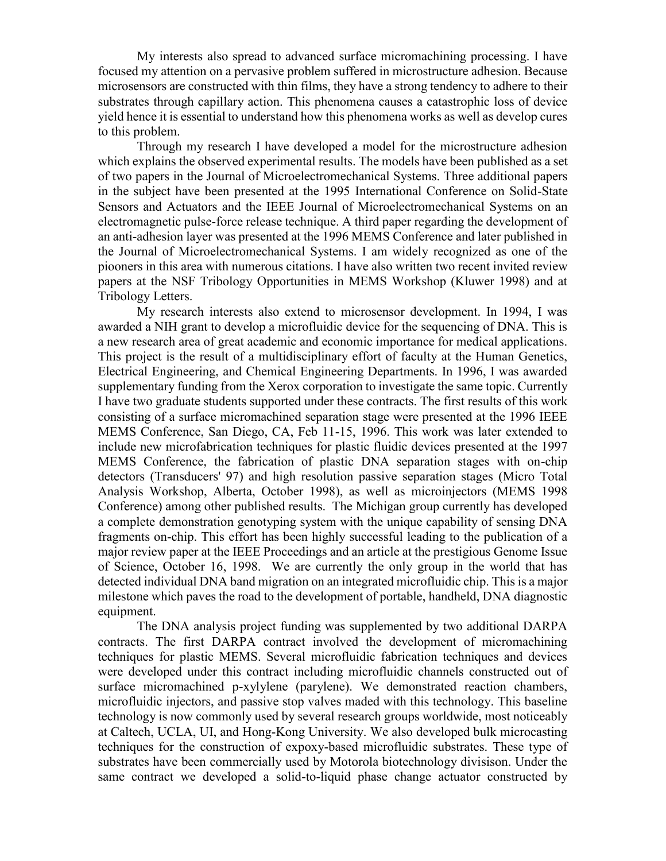My interests also spread to advanced surface micromachining processing. I have focused my attention on a pervasive problem suffered in microstructure adhesion. Because microsensors are constructed with thin films, they have a strong tendency to adhere to their substrates through capillary action. This phenomena causes a catastrophic loss of device yield hence it is essential to understand how this phenomena works as well as develop cures to this problem.

Through my research I have developed a model for the microstructure adhesion which explains the observed experimental results. The models have been published as a set of two papers in the Journal of Microelectromechanical Systems. Three additional papers in the subject have been presented at the 1995 International Conference on Solid-State Sensors and Actuators and the IEEE Journal of Microelectromechanical Systems on an electromagnetic pulse-force release technique. A third paper regarding the development of an anti-adhesion layer was presented at the 1996 MEMS Conference and later published in the Journal of Microelectromechanical Systems. I am widely recognized as one of the piooners in this area with numerous citations. I have also written two recent invited review papers at the NSF Tribology Opportunities in MEMS Workshop (Kluwer 1998) and at Tribology Letters.

My research interests also extend to microsensor development. In 1994, I was awarded a NIH grant to develop a microfluidic device for the sequencing of DNA. This is a new research area of great academic and economic importance for medical applications. This project is the result of a multidisciplinary effort of faculty at the Human Genetics, Electrical Engineering, and Chemical Engineering Departments. In 1996, I was awarded supplementary funding from the Xerox corporation to investigate the same topic. Currently I have two graduate students supported under these contracts. The first results of this work consisting of a surface micromachined separation stage were presented at the 1996 IEEE MEMS Conference, San Diego, CA, Feb 11-15, 1996. This work was later extended to include new microfabrication techniques for plastic fluidic devices presented at the 1997 MEMS Conference, the fabrication of plastic DNA separation stages with on-chip detectors (Transducers' 97) and high resolution passive separation stages (Micro Total Analysis Workshop, Alberta, October 1998), as well as microinjectors (MEMS 1998 Conference) among other published results. The Michigan group currently has developed a complete demonstration genotyping system with the unique capability of sensing DNA fragments on-chip. This effort has been highly successful leading to the publication of a major review paper at the IEEE Proceedings and an article at the prestigious Genome Issue of Science, October 16, 1998. We are currently the only group in the world that has detected individual DNA band migration on an integrated microfluidic chip. This is a major milestone which paves the road to the development of portable, handheld, DNA diagnostic equipment.

The DNA analysis project funding was supplemented by two additional DARPA contracts. The first DARPA contract involved the development of micromachining techniques for plastic MEMS. Several microfluidic fabrication techniques and devices were developed under this contract including microfluidic channels constructed out of surface micromachined p-xylylene (parylene). We demonstrated reaction chambers, microfluidic injectors, and passive stop valves maded with this technology. This baseline technology is now commonly used by several research groups worldwide, most noticeably at Caltech, UCLA, UI, and Hong-Kong University. We also developed bulk microcasting techniques for the construction of expoxy-based microfluidic substrates. These type of substrates have been commercially used by Motorola biotechnology divisison. Under the same contract we developed a solid-to-liquid phase change actuator constructed by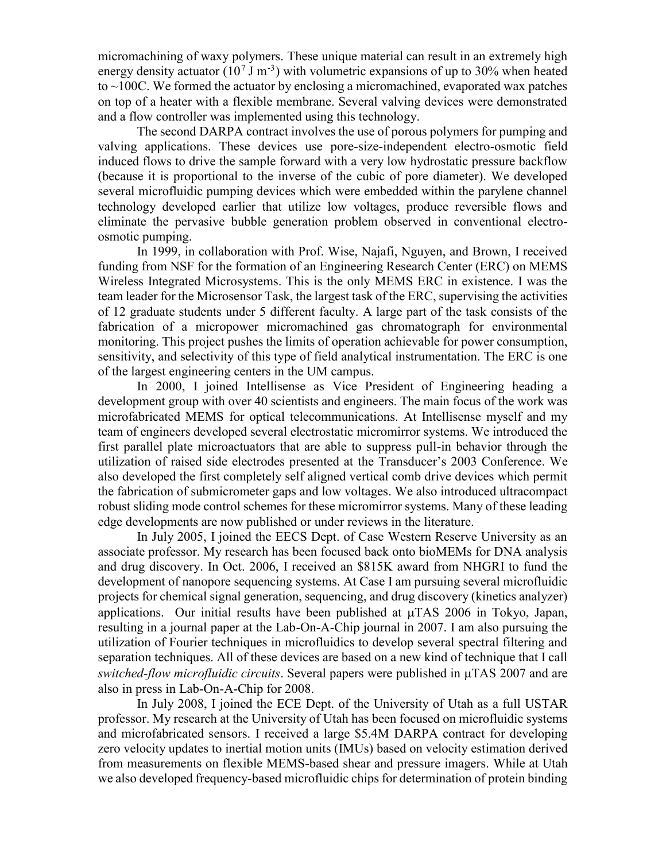micromachining of waxy polymers. These unique material can result in an extremely high energy density actuator (10<sup>7</sup> J m<sup>-3</sup>) with volumetric expansions of up to 30% when heated to  $\sim$ 100C. We formed the actuator by enclosing a micromachined, evaporated wax patches on top of a heater with a flexible membrane. Several valving devices were demonstrated and a flow controller was implemented using this technology.

The second DARPA contract involves the use of porous polymers for pumping and valving applications. These devices use pore-size-independent electro-osmotic field induced flows to drive the sample forward with a very low hydrostatic pressure backflow (because it is proportional to the inverse of the cubic of pore diameter). We developed several microfluidic pumping devices which were embedded within the parylene channel technology developed earlier that utilize low voltages, produce reversible flows and eliminate the pervasive bubble generation problem observed in conventional electroosmotic pumping.

In 1999, in collaboration with Prof. Wise, Najafi, Nguyen, and Brown, I received funding from NSF for the formation of an Engineering Research Center (ERC) on MEMS Wireless Integrated Microsystems. This is the only MEMS ERC in existence. I was the team leader for the Microsensor Task, the largest task of the ERC, supervising the activities of 12 graduate students under 5 different faculty. A large part of the task consists of the fabrication of a micropower micromachined gas chromatograph for environmental monitoring. This project pushes the limits of operation achievable for power consumption, sensitivity, and selectivity of this type of field analytical instrumentation. The ERC is one of the largest engineering centers in the UM campus.

In 2000, I joined Intellisense as Vice President of Engineering heading a development group with over 40 scientists and engineers. The main focus of the work was microfabricated MEMS for optical telecommunications. At Intellisense myself and my team of engineers developed several electrostatic micromirror systems. We introduced the first parallel plate microactuators that are able to suppress pull-in behavior through the utilization of raised side electrodes presented at the Transducer's 2003 Conference. We also developed the first completely self aligned vertical comb drive devices which permit the fabrication of submicrometer gaps and low voltages. We also introduced ultracompact robust sliding mode control schemes for these micromirror systems. Many of these leading edge developments are now published or under reviews in the literature.

In July 2005, I joined the EECS Dept. of Case Western Reserve University as an associate professor. My research has been focused back onto bioMEMs for DNA analysis and drug discovery. In Oct. 2006, I received an \$815K award from NHGRI to fund the development of nanopore sequencing systems. At Case I am pursuing several microfluidic projects for chemical signal generation, sequencing, and drug discovery (kinetics analyzer) applications. Our initial results have been published at  $\mu$ TAS 2006 in Tokyo, Japan, resulting in a journal paper at the Lab-On-A-Chip journal in 2007. I am also pursuing the utilization of Fourier techniques in microfluidics to develop several spectral filtering and separation techniques. All of these devices are based on a new kind of technique that I call *switched-flow microfluidic circuits*. Several papers were published in  $\mu$ TAS 2007 and are also in press in Lab-On-A-Chip for 2008.

In July 2008, I joined the ECE Dept. of the University of Utah as a full USTAR professor. My research at the University of Utah has been focused on microfluidic systems and microfabricated sensors. I received a large \$5.4M DARPA contract for developing zero velocity updates to inertial motion units (IMUs) based on velocity estimation derived from measurements on flexible MEMS-based shear and pressure imagers. While at Utah we also developed frequency-based microfluidic chips for determination of protein binding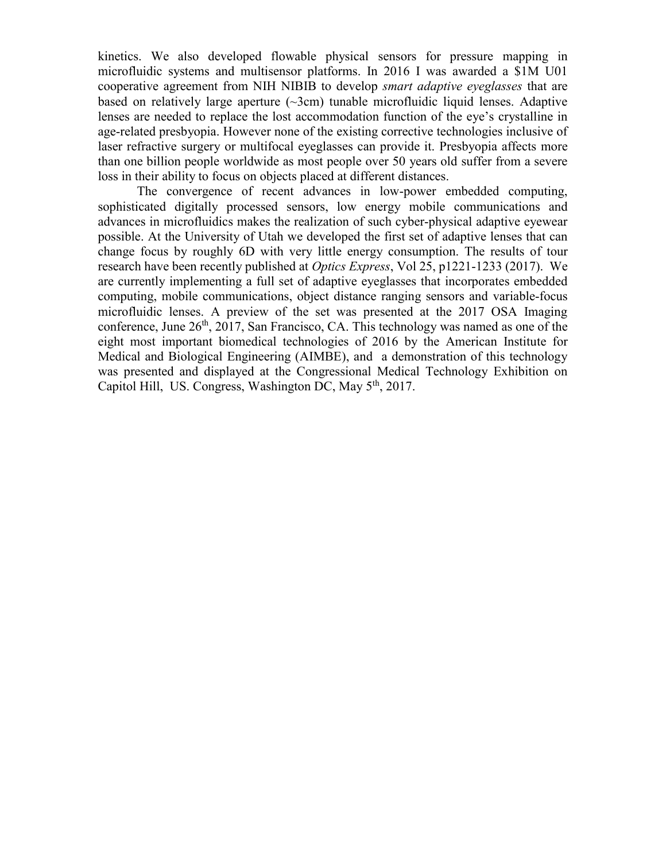kinetics. We also developed flowable physical sensors for pressure mapping in microfluidic systems and multisensor platforms. In 2016 I was awarded a \$1M U01 cooperative agreement from NIH NIBIB to develop *smart adaptive eyeglasses* that are based on relatively large aperture  $(\sim 3cm)$  tunable microfluidic liquid lenses. Adaptive lenses are needed to replace the lost accommodation function of the eye's crystalline in age-related presbyopia. However none of the existing corrective technologies inclusive of laser refractive surgery or multifocal eyeglasses can provide it. Presbyopia affects more than one billion people worldwide as most people over 50 years old suffer from a severe loss in their ability to focus on objects placed at different distances.

The convergence of recent advances in low-power embedded computing, sophisticated digitally processed sensors, low energy mobile communications and advances in microfluidics makes the realization of such cyber-physical adaptive eyewear possible. At the University of Utah we developed the first set of adaptive lenses that can change focus by roughly 6D with very little energy consumption. The results of tour research have been recently published at *Optics Express*, Vol 25, p1221-1233 (2017). We are currently implementing a full set of adaptive eyeglasses that incorporates embedded computing, mobile communications, object distance ranging sensors and variable-focus microfluidic lenses. A preview of the set was presented at the 2017 OSA Imaging conference, June  $26<sup>th</sup>$ , 2017, San Francisco, CA. This technology was named as one of the eight most important biomedical technologies of 2016 by the American Institute for Medical and Biological Engineering (AIMBE), and a demonstration of this technology was presented and displayed at the Congressional Medical Technology Exhibition on Capitol Hill, US. Congress, Washington DC, May  $5<sup>th</sup>$ , 2017.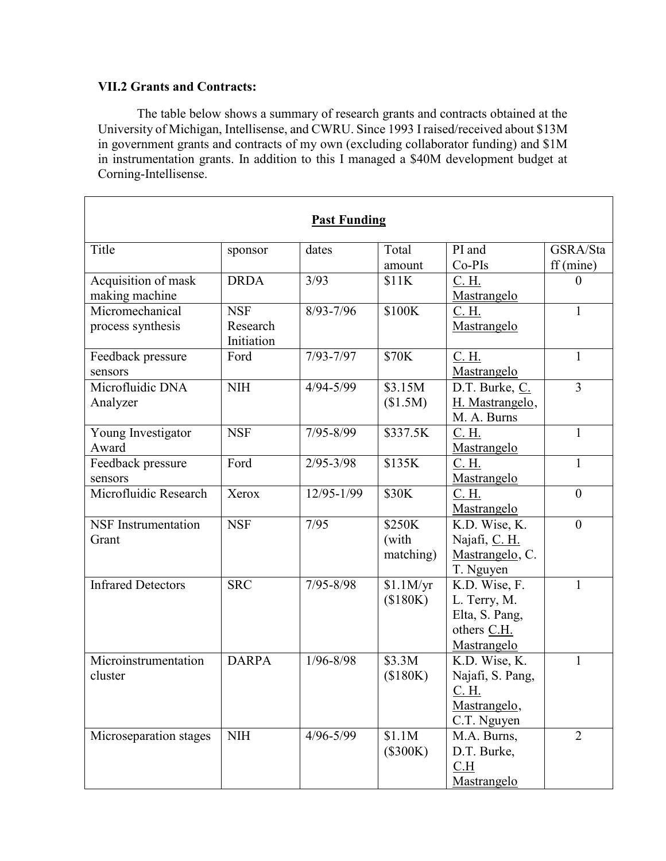## **VII.2 Grants and Contracts:**

 $\mathbf{r}$ 

The table below shows a summary of research grants and contracts obtained at the University of Michigan, Intellisense, and CWRU. Since 1993 I raised/received about \$13M in government grants and contracts of my own (excluding collaborator funding) and \$1M in instrumentation grants. In addition to this I managed a \$40M development budget at Corning-Intellisense.

| Title<br>PI and<br>Total<br>GSRA/Sta<br>dates<br>sponsor<br>Co-PIs<br>$ff$ (mine)<br>amount<br>Acquisition of mask<br><b>DRDA</b><br>3/93<br>\$11K<br><u>C. H.</u><br>$\theta$<br>making machine<br>Mastrangelo.<br>Micromechanical<br>\$100K<br><b>NSF</b><br>$8/93 - 7/96$<br>C. H.<br>$\mathbf{1}$<br>process synthesis<br>Research<br>Mastrangelo<br>Initiation<br><b>\$70K</b><br>$7/93 - 7/97$<br>Feedback pressure<br>Ford<br>C. H.<br>$\mathbf{1}$<br>Mastrangelo<br>sensors<br>$\overline{3}$<br>Microfluidic DNA<br><b>NIH</b><br>\$3.15M<br>$4/94 - 5/99$<br>D.T. Burke, C.<br>(\$1.5M)<br>H. Mastrangelo,<br>Analyzer<br>M. A. Burns<br><b>NSF</b><br>\$337.5K<br>$7/95 - 8/99$<br>Young Investigator<br>C. H.<br>$\mathbf{1}$<br>Award<br>Mastrangelo<br>Ford<br>$2/95 - 3/98$<br>\$135K<br>$\mathbf{1}$<br>Feedback pressure<br>C. H.<br>Mastrangelo<br>sensors<br>Microfluidic Research<br>$12/95 - 1/99$<br>\$30K<br>C. H.<br>Xerox<br>$\overline{0}$<br>Mastrangelo<br><b>NSF</b> Instrumentation<br><b>NSF</b><br>7/95<br>\$250K<br>K.D. Wise, K.<br>$\boldsymbol{0}$<br>(with<br>Najafi, C. H.<br>Grant<br>Mastrangelo, C.<br>matching) |
|------------------------------------------------------------------------------------------------------------------------------------------------------------------------------------------------------------------------------------------------------------------------------------------------------------------------------------------------------------------------------------------------------------------------------------------------------------------------------------------------------------------------------------------------------------------------------------------------------------------------------------------------------------------------------------------------------------------------------------------------------------------------------------------------------------------------------------------------------------------------------------------------------------------------------------------------------------------------------------------------------------------------------------------------------------------------------------------------------------------------------------------------------------|
|                                                                                                                                                                                                                                                                                                                                                                                                                                                                                                                                                                                                                                                                                                                                                                                                                                                                                                                                                                                                                                                                                                                                                            |
|                                                                                                                                                                                                                                                                                                                                                                                                                                                                                                                                                                                                                                                                                                                                                                                                                                                                                                                                                                                                                                                                                                                                                            |
|                                                                                                                                                                                                                                                                                                                                                                                                                                                                                                                                                                                                                                                                                                                                                                                                                                                                                                                                                                                                                                                                                                                                                            |
|                                                                                                                                                                                                                                                                                                                                                                                                                                                                                                                                                                                                                                                                                                                                                                                                                                                                                                                                                                                                                                                                                                                                                            |
|                                                                                                                                                                                                                                                                                                                                                                                                                                                                                                                                                                                                                                                                                                                                                                                                                                                                                                                                                                                                                                                                                                                                                            |
|                                                                                                                                                                                                                                                                                                                                                                                                                                                                                                                                                                                                                                                                                                                                                                                                                                                                                                                                                                                                                                                                                                                                                            |
|                                                                                                                                                                                                                                                                                                                                                                                                                                                                                                                                                                                                                                                                                                                                                                                                                                                                                                                                                                                                                                                                                                                                                            |
|                                                                                                                                                                                                                                                                                                                                                                                                                                                                                                                                                                                                                                                                                                                                                                                                                                                                                                                                                                                                                                                                                                                                                            |
|                                                                                                                                                                                                                                                                                                                                                                                                                                                                                                                                                                                                                                                                                                                                                                                                                                                                                                                                                                                                                                                                                                                                                            |
|                                                                                                                                                                                                                                                                                                                                                                                                                                                                                                                                                                                                                                                                                                                                                                                                                                                                                                                                                                                                                                                                                                                                                            |
|                                                                                                                                                                                                                                                                                                                                                                                                                                                                                                                                                                                                                                                                                                                                                                                                                                                                                                                                                                                                                                                                                                                                                            |
|                                                                                                                                                                                                                                                                                                                                                                                                                                                                                                                                                                                                                                                                                                                                                                                                                                                                                                                                                                                                                                                                                                                                                            |
|                                                                                                                                                                                                                                                                                                                                                                                                                                                                                                                                                                                                                                                                                                                                                                                                                                                                                                                                                                                                                                                                                                                                                            |
|                                                                                                                                                                                                                                                                                                                                                                                                                                                                                                                                                                                                                                                                                                                                                                                                                                                                                                                                                                                                                                                                                                                                                            |
|                                                                                                                                                                                                                                                                                                                                                                                                                                                                                                                                                                                                                                                                                                                                                                                                                                                                                                                                                                                                                                                                                                                                                            |
|                                                                                                                                                                                                                                                                                                                                                                                                                                                                                                                                                                                                                                                                                                                                                                                                                                                                                                                                                                                                                                                                                                                                                            |
|                                                                                                                                                                                                                                                                                                                                                                                                                                                                                                                                                                                                                                                                                                                                                                                                                                                                                                                                                                                                                                                                                                                                                            |
|                                                                                                                                                                                                                                                                                                                                                                                                                                                                                                                                                                                                                                                                                                                                                                                                                                                                                                                                                                                                                                                                                                                                                            |
|                                                                                                                                                                                                                                                                                                                                                                                                                                                                                                                                                                                                                                                                                                                                                                                                                                                                                                                                                                                                                                                                                                                                                            |
|                                                                                                                                                                                                                                                                                                                                                                                                                                                                                                                                                                                                                                                                                                                                                                                                                                                                                                                                                                                                                                                                                                                                                            |
| T. Nguyen<br><b>Infrared Detectors</b><br><b>SRC</b><br>$7/95 - 8/98$<br>K.D. Wise, F.<br>$\mathbf{1}$<br>\$1.1M/yr                                                                                                                                                                                                                                                                                                                                                                                                                                                                                                                                                                                                                                                                                                                                                                                                                                                                                                                                                                                                                                        |
| (\$180K)<br>L. Terry, M.                                                                                                                                                                                                                                                                                                                                                                                                                                                                                                                                                                                                                                                                                                                                                                                                                                                                                                                                                                                                                                                                                                                                   |
| Elta, S. Pang,                                                                                                                                                                                                                                                                                                                                                                                                                                                                                                                                                                                                                                                                                                                                                                                                                                                                                                                                                                                                                                                                                                                                             |
| others C.H.                                                                                                                                                                                                                                                                                                                                                                                                                                                                                                                                                                                                                                                                                                                                                                                                                                                                                                                                                                                                                                                                                                                                                |
| Mastrangelo                                                                                                                                                                                                                                                                                                                                                                                                                                                                                                                                                                                                                                                                                                                                                                                                                                                                                                                                                                                                                                                                                                                                                |
| Microinstrumentation<br>$1/96 - 8/98$<br>\$3.3M<br>K.D. Wise, K.<br><b>DARPA</b><br>$\mathbf{1}$                                                                                                                                                                                                                                                                                                                                                                                                                                                                                                                                                                                                                                                                                                                                                                                                                                                                                                                                                                                                                                                           |
| (\$180K)<br>Najafi, S. Pang,<br>cluster                                                                                                                                                                                                                                                                                                                                                                                                                                                                                                                                                                                                                                                                                                                                                                                                                                                                                                                                                                                                                                                                                                                    |
| <u>C. H.</u>                                                                                                                                                                                                                                                                                                                                                                                                                                                                                                                                                                                                                                                                                                                                                                                                                                                                                                                                                                                                                                                                                                                                               |
| Mastrangelo,                                                                                                                                                                                                                                                                                                                                                                                                                                                                                                                                                                                                                                                                                                                                                                                                                                                                                                                                                                                                                                                                                                                                               |
| C.T. Nguyen                                                                                                                                                                                                                                                                                                                                                                                                                                                                                                                                                                                                                                                                                                                                                                                                                                                                                                                                                                                                                                                                                                                                                |
| $\rm NIH$<br>$4/96 - 5/99$<br>\$1.1M<br>$\overline{2}$<br>M.A. Burns,<br>Microseparation stages                                                                                                                                                                                                                                                                                                                                                                                                                                                                                                                                                                                                                                                                                                                                                                                                                                                                                                                                                                                                                                                            |
| $(\$300K)$<br>D.T. Burke,<br>C.H                                                                                                                                                                                                                                                                                                                                                                                                                                                                                                                                                                                                                                                                                                                                                                                                                                                                                                                                                                                                                                                                                                                           |
| Mastrangelo                                                                                                                                                                                                                                                                                                                                                                                                                                                                                                                                                                                                                                                                                                                                                                                                                                                                                                                                                                                                                                                                                                                                                |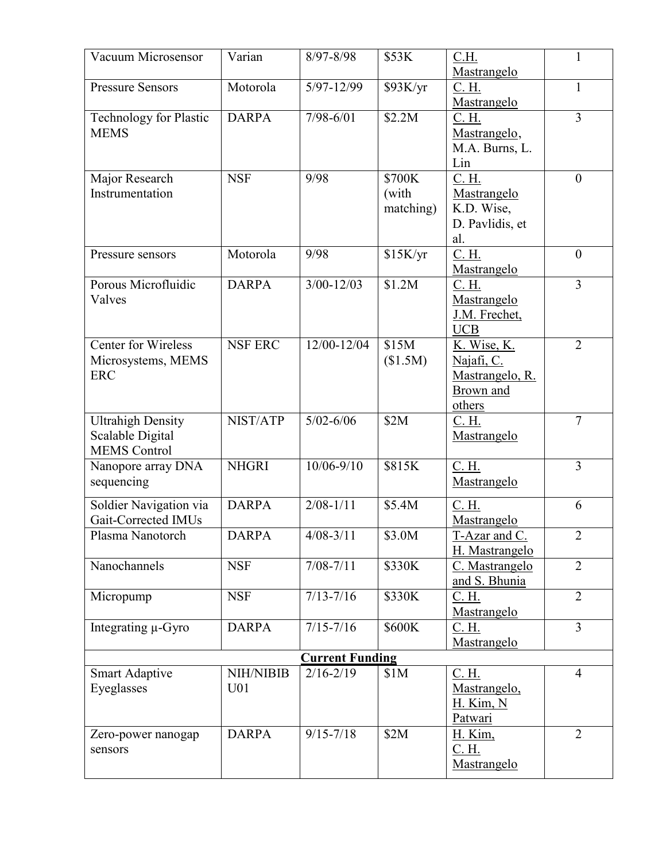| Vacuum Microsensor                                                  | Varian                              | 8/97-8/98              | \$53K                        | C.H.<br><b>Mastrangelo</b>                                           | 1              |
|---------------------------------------------------------------------|-------------------------------------|------------------------|------------------------------|----------------------------------------------------------------------|----------------|
| <b>Pressure Sensors</b>                                             | Motorola                            | $5/97 - 12/99$         | \$93K/yr                     | C. H.<br>Mastrangelo                                                 | $\mathbf{1}$   |
| <b>Technology for Plastic</b><br><b>MEMS</b>                        | <b>DARPA</b>                        | $7/98 - 6/01$          | \$2.2M                       | C. H.<br>Mastrangelo,<br>M.A. Burns, L.<br>Lin                       | $\overline{3}$ |
| Major Research<br>Instrumentation                                   | <b>NSF</b>                          | 9/98                   | \$700K<br>(with<br>matching) | C. H.<br>Mastrangelo.<br>K.D. Wise,<br>D. Pavlidis, et<br>al.        | $\overline{0}$ |
| Pressure sensors                                                    | Motorola                            | 9/98                   | \$15K/yr                     | C. H.<br>Mastrangelo.                                                | $\overline{0}$ |
| Porous Microfluidic<br>Valves                                       | <b>DARPA</b>                        | $3/00 - 12/03$         | \$1.2M                       | C. H.<br>Mastrangelo<br>J.M. Frechet,<br>UCB.                        | 3              |
| <b>Center for Wireless</b><br>Microsystems, MEMS<br><b>ERC</b>      | <b>NSF ERC</b>                      | 12/00-12/04            | \$15M<br>(\$1.5M)            | K. Wise, K.<br>Najafi, C.<br>Mastrangelo, R.<br>Brown and<br>others. | $\overline{2}$ |
| <b>Ultrahigh Density</b><br>Scalable Digital<br><b>MEMS</b> Control | NIST/ATP                            | $5/02 - 6/06$          | \$2M                         | C. H.<br>Mastrangelo.                                                | $\tau$         |
| Nanopore array DNA<br>sequencing                                    | <b>NHGRI</b>                        | $10/06 - 9/10$         | \$815K                       | C. H.<br>Mastrangelo                                                 | 3              |
| Soldier Navigation via<br>Gait-Corrected IMUs                       | <b>DARPA</b>                        | $2/08 - 1/11$          | \$5.4M                       | C. H.<br>Mastrangelo                                                 | 6              |
| Plasma Nanotorch                                                    | <b>DARPA</b>                        | $4/08 - 3/11$          | \$3.0M                       | T-Azar and C.<br>H. Mastrangelo                                      | $\overline{2}$ |
| Nanochannels                                                        | <b>NSF</b>                          | $7/08 - 7/11$          | \$330K                       | C. Mastrangelo<br>and S. Bhunia                                      | $\overline{2}$ |
| Micropump                                                           | <b>NSF</b>                          | $7/13 - 7/16$          | \$330K                       | C. H.<br>Mastrangelo                                                 | $\overline{2}$ |
| Integrating µ-Gyro                                                  | <b>DARPA</b>                        | $7/15 - 7/16$          | \$600K                       | C. H.<br>Mastrangelo                                                 | $\overline{3}$ |
|                                                                     |                                     | <b>Current Funding</b> |                              |                                                                      |                |
| <b>Smart Adaptive</b><br>Eyeglasses                                 | <b>NIH/NIBIB</b><br>U <sub>01</sub> | $2/16 - 2/19$          | \$1M                         | C. H.<br>Mastrangelo,<br><b>H. Kim, N</b><br>Patwari                 | $\overline{4}$ |
| Zero-power nanogap<br>sensors                                       | <b>DARPA</b>                        | $9/15 - 7/18$          | \$2M                         | <b>H.</b> Kim,<br>C. H.<br>Mastrangelo                               | $\overline{2}$ |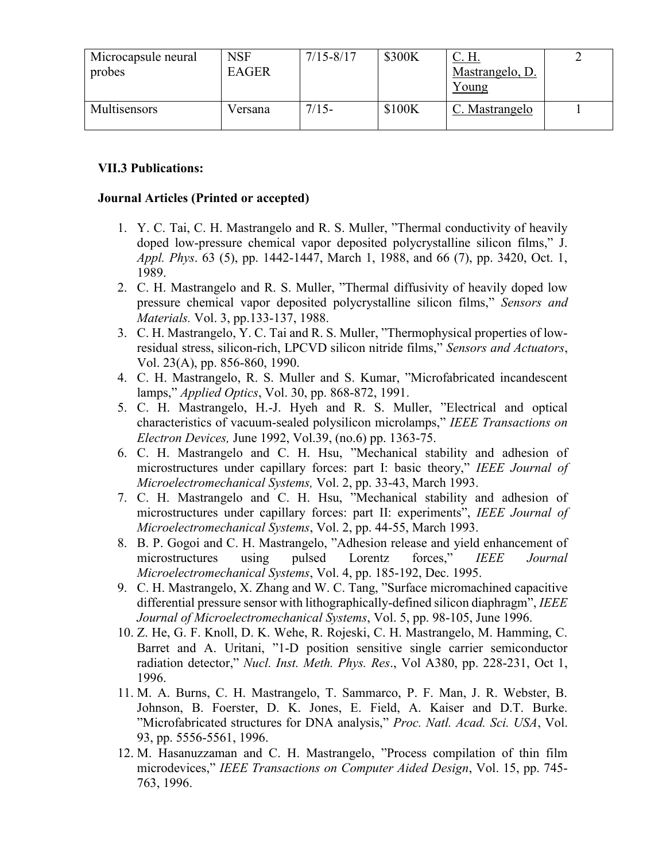| Microcapsule neural<br>probes | <b>NSF</b><br><b>EAGER</b> | $7/15 - 8/17$ | \$300K | <u>C. H.</u><br>Mastrangelo, D.<br>Young |  |
|-------------------------------|----------------------------|---------------|--------|------------------------------------------|--|
| Multisensors                  | V ersana                   | $7/15-$       | \$100K | C. Mastrangelo                           |  |

## **VII.3 Publications:**

#### **Journal Articles (Printed or accepted)**

- 1. Y. C. Tai, C. H. Mastrangelo and R. S. Muller, "Thermal conductivity of heavily doped low-pressure chemical vapor deposited polycrystalline silicon films," J. *Appl. Phys*. 63 (5), pp. 1442-1447, March 1, 1988, and 66 (7), pp. 3420, Oct. 1, 1989.
- 2. C. H. Mastrangelo and R. S. Muller, "Thermal diffusivity of heavily doped low pressure chemical vapor deposited polycrystalline silicon films," *Sensors and Materials.* Vol. 3, pp.133-137, 1988.
- 3. C. H. Mastrangelo, Y. C. Tai and R. S. Muller, "Thermophysical properties of lowresidual stress, silicon-rich, LPCVD silicon nitride films," *Sensors and Actuators*, Vol. 23(A), pp. 856-860, 1990.
- 4. C. H. Mastrangelo, R. S. Muller and S. Kumar, "Microfabricated incandescent lamps," *Applied Optics*, Vol. 30, pp. 868-872, 1991.
- 5. C. H. Mastrangelo, H.-J. Hyeh and R. S. Muller, "Electrical and optical characteristics of vacuum-sealed polysilicon microlamps," *IEEE Transactions on Electron Devices,* June 1992, Vol.39, (no.6) pp. 1363-75.
- 6. C. H. Mastrangelo and C. H. Hsu, "Mechanical stability and adhesion of microstructures under capillary forces: part I: basic theory," *IEEE Journal of Microelectromechanical Systems,* Vol. 2, pp. 33-43, March 1993.
- 7. C. H. Mastrangelo and C. H. Hsu, "Mechanical stability and adhesion of microstructures under capillary forces: part II: experiments", *IEEE Journal of Microelectromechanical Systems*, Vol. 2, pp. 44-55, March 1993.
- 8. B. P. Gogoi and C. H. Mastrangelo, "Adhesion release and yield enhancement of microstructures using pulsed Lorentz forces," *IEEE Journal Microelectromechanical Systems*, Vol. 4, pp. 185-192, Dec. 1995.
- 9. C. H. Mastrangelo, X. Zhang and W. C. Tang, "Surface micromachined capacitive differential pressure sensor with lithographically-defined silicon diaphragm", *IEEE Journal of Microelectromechanical Systems*, Vol. 5, pp. 98-105, June 1996.
- 10. Z. He, G. F. Knoll, D. K. Wehe, R. Rojeski, C. H. Mastrangelo, M. Hamming, C. Barret and A. Uritani, "1-D position sensitive single carrier semiconductor radiation detector," *Nucl. Inst. Meth. Phys. Res*., Vol A380, pp. 228-231, Oct 1, 1996.
- 11. M. A. Burns, C. H. Mastrangelo, T. Sammarco, P. F. Man, J. R. Webster, B. Johnson, B. Foerster, D. K. Jones, E. Field, A. Kaiser and D.T. Burke. "Microfabricated structures for DNA analysis," *Proc. Natl. Acad. Sci. USA*, Vol. 93, pp. 5556-5561, 1996.
- 12. M. Hasanuzzaman and C. H. Mastrangelo, "Process compilation of thin film microdevices," *IEEE Transactions on Computer Aided Design*, Vol. 15, pp. 745- 763, 1996.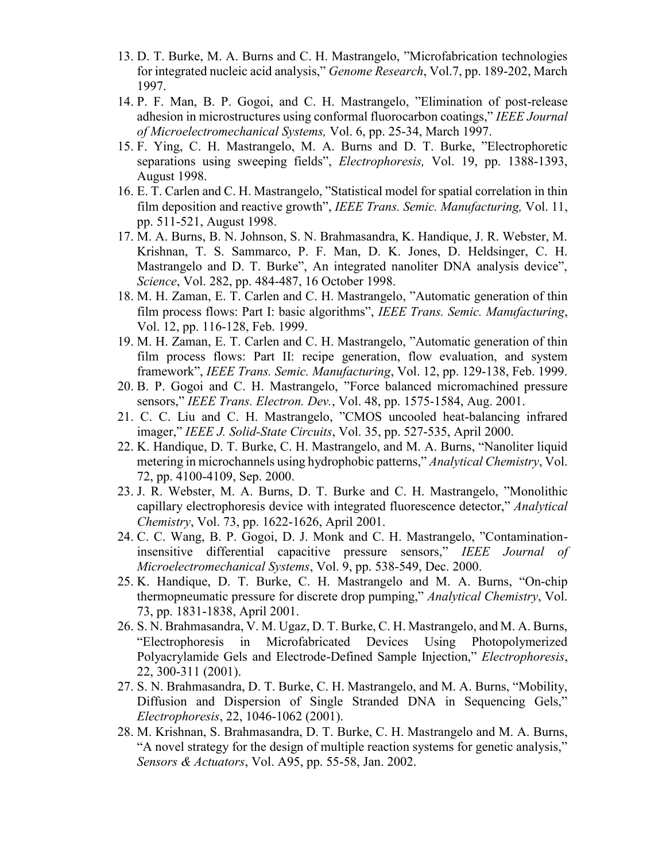- 13. D. T. Burke, M. A. Burns and C. H. Mastrangelo, "Microfabrication technologies for integrated nucleic acid analysis," *Genome Research*, Vol.7, pp. 189-202, March 1997.
- 14. P. F. Man, B. P. Gogoi, and C. H. Mastrangelo, "Elimination of post-release adhesion in microstructures using conformal fluorocarbon coatings," *IEEE Journal of Microelectromechanical Systems,* Vol. 6, pp. 25-34, March 1997.
- 15. F. Ying, C. H. Mastrangelo, M. A. Burns and D. T. Burke, "Electrophoretic separations using sweeping fields", *Electrophoresis,* Vol. 19, pp. 1388-1393, August 1998.
- 16. E. T. Carlen and C. H. Mastrangelo, "Statistical model for spatial correlation in thin film deposition and reactive growth", *IEEE Trans. Semic. Manufacturing,* Vol. 11, pp. 511-521, August 1998.
- 17. M. A. Burns, B. N. Johnson, S. N. Brahmasandra, K. Handique, J. R. Webster, M. Krishnan, T. S. Sammarco, P. F. Man, D. K. Jones, D. Heldsinger, C. H. Mastrangelo and D. T. Burke", An integrated nanoliter DNA analysis device", *Science*, Vol. 282, pp. 484-487, 16 October 1998.
- 18. M. H. Zaman, E. T. Carlen and C. H. Mastrangelo, "Automatic generation of thin film process flows: Part I: basic algorithms", *IEEE Trans. Semic. Manufacturing*, Vol. 12, pp. 116-128, Feb. 1999.
- 19. M. H. Zaman, E. T. Carlen and C. H. Mastrangelo, "Automatic generation of thin film process flows: Part II: recipe generation, flow evaluation, and system framework", *IEEE Trans. Semic. Manufacturing*, Vol. 12, pp. 129-138, Feb. 1999.
- 20. B. P. Gogoi and C. H. Mastrangelo, "Force balanced micromachined pressure sensors," *IEEE Trans. Electron. Dev.*, Vol. 48, pp. 1575-1584, Aug. 2001.
- 21. C. C. Liu and C. H. Mastrangelo, "CMOS uncooled heat-balancing infrared imager," *IEEE J. Solid-State Circuits*, Vol. 35, pp. 527-535, April 2000.
- 22. K. Handique, D. T. Burke, C. H. Mastrangelo, and M. A. Burns, "Nanoliter liquid metering in microchannels using hydrophobic patterns," *Analytical Chemistry*, Vol. 72, pp. 4100-4109, Sep. 2000.
- 23. J. R. Webster, M. A. Burns, D. T. Burke and C. H. Mastrangelo, "Monolithic capillary electrophoresis device with integrated fluorescence detector," *Analytical Chemistry*, Vol. 73, pp. 1622-1626, April 2001.
- 24. C. C. Wang, B. P. Gogoi, D. J. Monk and C. H. Mastrangelo, "Contaminationinsensitive differential capacitive pressure sensors," *IEEE Journal of Microelectromechanical Systems*, Vol. 9, pp. 538-549, Dec. 2000.
- 25. K. Handique, D. T. Burke, C. H. Mastrangelo and M. A. Burns, "On-chip thermopneumatic pressure for discrete drop pumping," *Analytical Chemistry*, Vol. 73, pp. 1831-1838, April 2001.
- 26. S. N. Brahmasandra, V. M. Ugaz, D. T. Burke, C. H. Mastrangelo, and M. A. Burns, "Electrophoresis in Microfabricated Devices Using Photopolymerized Polyacrylamide Gels and Electrode-Defined Sample Injection," *Electrophoresis*, 22, 300-311 (2001).
- 27. S. N. Brahmasandra, D. T. Burke, C. H. Mastrangelo, and M. A. Burns, "Mobility, Diffusion and Dispersion of Single Stranded DNA in Sequencing Gels," *Electrophoresis*, 22, 1046-1062 (2001).
- 28. M. Krishnan, S. Brahmasandra, D. T. Burke, C. H. Mastrangelo and M. A. Burns, "A novel strategy for the design of multiple reaction systems for genetic analysis," *Sensors & Actuators*, Vol. A95, pp. 55-58, Jan. 2002.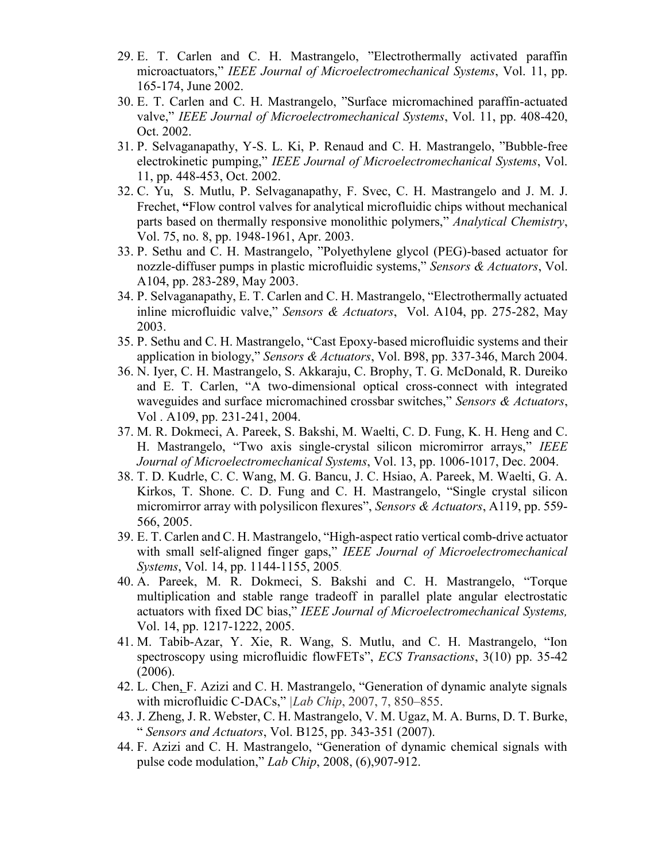- 29. E. T. Carlen and C. H. Mastrangelo, "Electrothermally activated paraffin microactuators," *IEEE Journal of Microelectromechanical Systems*, Vol. 11, pp. 165-174, June 2002.
- 30. E. T. Carlen and C. H. Mastrangelo, "Surface micromachined paraffin-actuated valve," *IEEE Journal of Microelectromechanical Systems*, Vol. 11, pp. 408-420, Oct. 2002.
- 31. P. Selvaganapathy, Y-S. L. Ki, P. Renaud and C. H. Mastrangelo, "Bubble-free electrokinetic pumping," *IEEE Journal of Microelectromechanical Systems*, Vol. 11, pp. 448-453, Oct. 2002.
- 32. C. Yu, S. Mutlu, P. Selvaganapathy, F. Svec, C. H. Mastrangelo and J. M. J. Frechet, **"**Flow control valves for analytical microfluidic chips without mechanical parts based on thermally responsive monolithic polymers," *Analytical Chemistry*, Vol. 75, no. 8, pp. 1948-1961, Apr. 2003.
- 33. P. Sethu and C. H. Mastrangelo, "Polyethylene glycol (PEG)-based actuator for nozzle-diffuser pumps in plastic microfluidic systems," *Sensors & Actuators*, Vol. A104, pp. 283-289, May 2003.
- 34. P. Selvaganapathy, E. T. Carlen and C. H. Mastrangelo, "Electrothermally actuated inline microfluidic valve," *Sensors & Actuators*, Vol. A104, pp. 275-282, May 2003.
- 35. P. Sethu and C. H. Mastrangelo, "Cast Epoxy-based microfluidic systems and their application in biology," *Sensors & Actuators*, Vol. B98, pp. 337-346, March 2004.
- 36. N. Iyer, C. H. Mastrangelo, S. Akkaraju, C. Brophy, T. G. McDonald, R. Dureiko and E. T. Carlen, "A two-dimensional optical cross-connect with integrated waveguides and surface micromachined crossbar switches," *Sensors & Actuators*, Vol . A109, pp. 231-241, 2004.
- 37. M. R. Dokmeci, A. Pareek, S. Bakshi, M. Waelti, C. D. Fung, K. H. Heng and C. H. Mastrangelo, "Two axis single-crystal silicon micromirror arrays," *IEEE Journal of Microelectromechanical Systems*, Vol. 13, pp. 1006-1017, Dec. 2004.
- 38. T. D. Kudrle, C. C. Wang, M. G. Bancu, J. C. Hsiao, A. Pareek, M. Waelti, G. A. Kirkos, T. Shone. C. D. Fung and C. H. Mastrangelo, "Single crystal silicon micromirror array with polysilicon flexures", *Sensors & Actuators*, A119, pp. 559- 566, 2005.
- 39. E. T. Carlen and C. H. Mastrangelo, "High-aspect ratio vertical comb-drive actuator with small self-aligned finger gaps," *IEEE Journal of Microelectromechanical Systems*, Vol. 14, pp. 1144-1155, 2005.
- 40. A. Pareek, M. R. Dokmeci, S. Bakshi and C. H. Mastrangelo, "Torque multiplication and stable range tradeoff in parallel plate angular electrostatic actuators with fixed DC bias," *IEEE Journal of Microelectromechanical Systems,* Vol. 14, pp. 1217-1222, 2005.
- 41. M. Tabib-Azar, Y. Xie, R. Wang, S. Mutlu, and C. H. Mastrangelo, "Ion spectroscopy using microfluidic flowFETs", *ECS Transactions*, 3(10) pp. 35-42 (2006).
- 42. L. Chen, F. Azizi and C. H. Mastrangelo, "Generation of dynamic analyte signals with microfluidic C-DACs," *|Lab Chip*, 2007, 7, 850–855.
- 43. J. Zheng, J. R. Webster, C. H. Mastrangelo, V. M. Ugaz, M. A. Burns, D. T. Burke, " *Sensors and Actuators*, Vol. B125, pp. 343-351 (2007).
- 44. F. Azizi and C. H. Mastrangelo, "Generation of dynamic chemical signals with pulse code modulation," *Lab Chip*, 2008, (6),907-912.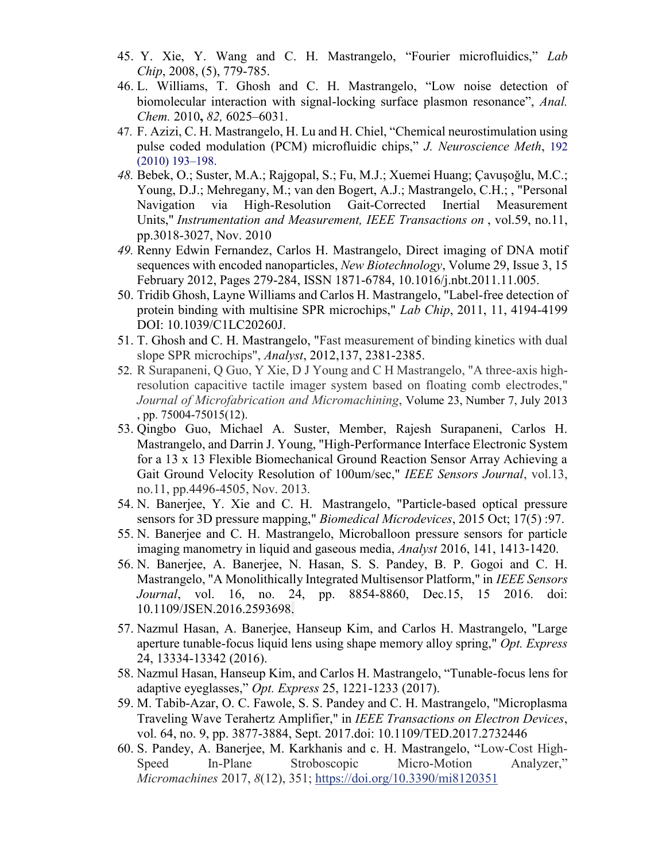- 45. Y. Xie, Y. Wang and C. H. Mastrangelo, "Fourier microfluidics," *Lab Chip*, 2008, (5), 779-785.
- 46. L. Williams, T. Ghosh and C. H. Mastrangelo, "Low noise detection of biomolecular interaction with signal-locking surface plasmon resonance", *Anal. Chem.* 2010**,** *82,* 6025–6031.
- 47. F. Azizi, C. H. Mastrangelo, H. Lu and H. Chiel, "Chemical neurostimulation using pulse coded modulation (PCM) microfluidic chips," *J. Neuroscience Meth*, 192 (2010) 193–198.
- *48.* Bebek, O.; Suster, M.A.; Rajgopal, S.; Fu, M.J.; Xuemei Huang; Çavuşoǧlu, M.C.; Young, D.J.; Mehregany, M.; van den Bogert, A.J.; Mastrangelo, C.H.; , "Personal Navigation via High-Resolution Gait-Corrected Inertial Measurement Units," *Instrumentation and Measurement, IEEE Transactions on* , vol.59, no.11, pp.3018-3027, Nov. 2010
- *49.* Renny Edwin Fernandez, Carlos H. Mastrangelo, Direct imaging of DNA motif sequences with encoded nanoparticles, *New Biotechnology*, Volume 29, Issue 3, 15 February 2012, Pages 279-284, ISSN 1871-6784, 10.1016/j.nbt.2011.11.005.
- 50. Tridib Ghosh, Layne Williams and Carlos H. Mastrangelo, "Label-free detection of protein binding with multisine SPR microchips," *Lab Chip*, 2011, 11, 4194-4199 DOI: 10.1039/C1LC20260J.
- 51. T. Ghosh and C. H. Mastrangelo, "Fast measurement of binding kinetics with dual slope SPR microchips", *Analyst*, 2012,137, 2381-2385.
- 52. R Surapaneni, Q Guo, Y Xie, D J Young and C H Mastrangelo, "A three-axis highresolution capacitive tactile imager system based on floating comb electrodes," *Journal of Microfabrication and Micromachining*, Volume 23, Number 7, July 2013 , pp. 75004-75015(12).
- 53. [Qingbo Guo,](mailto:qingbo.guo@utah.edu) Michael A. Suster, Member, Rajesh Surapaneni, Carlos H. Mastrangelo, and Darrin J. Young, "High-Performance Interface Electronic System for a 13 x 13 Flexible Biomechanical Ground Reaction Sensor Array Achieving a Gait Ground Velocity Resolution of 100um/sec," *IEEE Sensors Journal*, vol.13, no.11, pp.4496-4505, Nov. 2013*.*
- 54. N. Banerjee, Y. Xie and C. H. Mastrangelo, "Particle-based optical pressure sensors for 3D pressure mapping," *Biomedical Microdevices*, 2015 Oct; 17(5) :97.
- 55. N. Banerjee and C. H. Mastrangelo, Microballoon pressure sensors for particle imaging manometry in liquid and gaseous media, *Analyst* 2016, 141, 1413-1420.
- 56. N. Banerjee, A. Banerjee, N. Hasan, S. S. Pandey, B. P. Gogoi and C. H. Mastrangelo, "A Monolithically Integrated Multisensor Platform," in *IEEE Sensors Journal*, vol. 16, no. 24, pp. 8854-8860, Dec.15, 15 2016. doi: 10.1109/JSEN.2016.2593698.
- 57. Nazmul Hasan, A. Banerjee, Hanseup Kim, and Carlos H. Mastrangelo, "Large aperture tunable-focus liquid lens using shape memory alloy spring," *Opt. Express*  24, 13334-13342 (2016).
- 58. Nazmul Hasan, Hanseup Kim, and Carlos H. Mastrangelo, "Tunable-focus lens for adaptive eyeglasses," *Opt. Express* 25, 1221-1233 (2017).
- 59. M. Tabib-Azar, O. C. Fawole, S. S. Pandey and C. H. Mastrangelo, "Microplasma Traveling Wave Terahertz Amplifier," in *IEEE Transactions on Electron Devices*, vol. 64, no. 9, pp. 3877-3884, Sept. 2017.doi: 10.1109/TED.2017.2732446
- 60. S. Pandey, A. Banerjee, M. Karkhanis and c. H. Mastrangelo, "Low-Cost High-Speed In-Plane Stroboscopic Micro-Motion Analyzer," *Micromachines* 2017, *8*(12), 351; <https://doi.org/10.3390/mi8120351>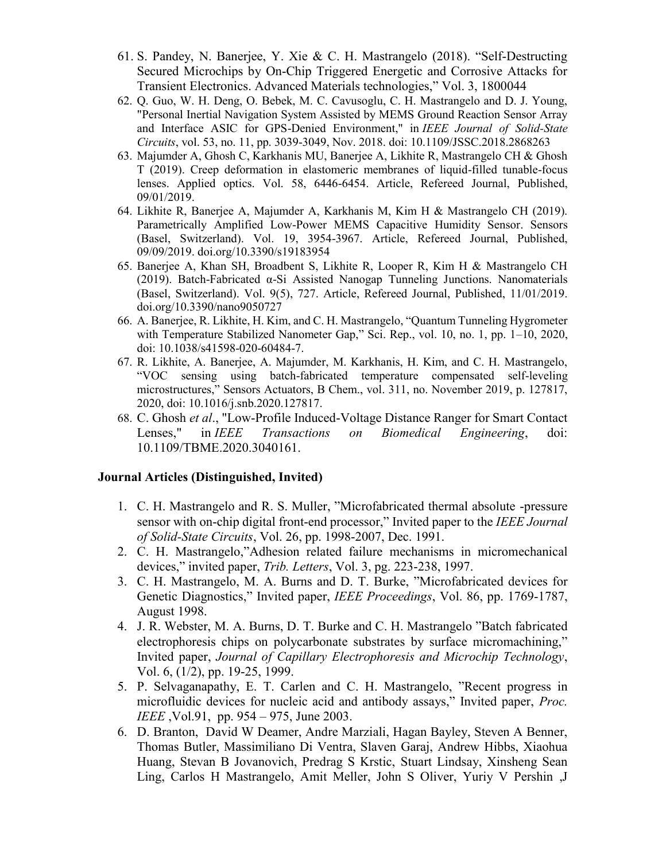- 61. S. Pandey, N. Banerjee, Y. Xie & C. H. Mastrangelo (2018). "Self‐Destructing Secured Microchips by On‐Chip Triggered Energetic and Corrosive Attacks for Transient Electronics. Advanced Materials technologies," Vol. 3, 1800044
- 62. Q. Guo, W. H. Deng, O. Bebek, M. C. Cavusoglu, C. H. Mastrangelo and D. J. Young, "Personal Inertial Navigation System Assisted by MEMS Ground Reaction Sensor Array and Interface ASIC for GPS-Denied Environment," in *IEEE Journal of Solid-State Circuits*, vol. 53, no. 11, pp. 3039-3049, Nov. 2018. doi: 10.1109/JSSC.2018.2868263
- 63. Majumder A, Ghosh C, Karkhanis MU, Banerjee A, Likhite R, Mastrangelo CH & Ghosh T (2019). Creep deformation in elastomeric membranes of liquid-filled tunable-focus lenses. Applied optics. Vol. 58, 6446-6454. Article, Refereed Journal, Published, 09/01/2019.
- 64. Likhite R, Banerjee A, Majumder A, Karkhanis M, Kim H & Mastrangelo CH (2019). Parametrically Amplified Low-Power MEMS Capacitive Humidity Sensor. Sensors (Basel, Switzerland). Vol. 19, 3954-3967. Article, Refereed Journal, Published, 09/09/2019. doi.org/10.3390/s19183954
- 65. Banerjee A, Khan SH, Broadbent S, Likhite R, Looper R, Kim H & Mastrangelo CH (2019). Batch-Fabricated α-Si Assisted Nanogap Tunneling Junctions. Nanomaterials (Basel, Switzerland). Vol. 9(5), 727. Article, Refereed Journal, Published, 11/01/2019. doi.org/10.3390/nano9050727
- 66. A. Banerjee, R. Likhite, H. Kim, and C. H. Mastrangelo, "Quantum Tunneling Hygrometer with Temperature Stabilized Nanometer Gap," Sci. Rep., vol. 10, no. 1, pp. 1–10, 2020, doi: 10.1038/s41598-020-60484-7.
- 67. R. Likhite, A. Banerjee, A. Majumder, M. Karkhanis, H. Kim, and C. H. Mastrangelo, "VOC sensing using batch-fabricated temperature compensated self-leveling microstructures," Sensors Actuators, B Chem., vol. 311, no. November 2019, p. 127817, 2020, doi: 10.1016/j.snb.2020.127817.
- 68. C. Ghosh *et al*., "Low-Profile Induced-Voltage Distance Ranger for Smart Contact Lenses," in *IEEE Transactions on Biomedical Engineering*, doi: 10.1109/TBME.2020.3040161.

#### **Journal Articles (Distinguished, Invited)**

- 1. C. H. Mastrangelo and R. S. Muller, "Microfabricated thermal absolute -pressure sensor with on-chip digital front-end processor," Invited paper to the *IEEE Journal of Solid-State Circuits*, Vol. 26, pp. 1998-2007, Dec. 1991.
- 2. C. H. Mastrangelo,"Adhesion related failure mechanisms in micromechanical devices," invited paper, *Trib. Letters*, Vol. 3, pg. 223-238, 1997.
- 3. C. H. Mastrangelo, M. A. Burns and D. T. Burke, "Microfabricated devices for Genetic Diagnostics," Invited paper, *IEEE Proceedings*, Vol. 86, pp. 1769-1787, August 1998.
- 4. J. R. Webster, M. A. Burns, D. T. Burke and C. H. Mastrangelo "Batch fabricated electrophoresis chips on polycarbonate substrates by surface micromachining," Invited paper, *Journal of Capillary Electrophoresis and Microchip Technology*, Vol. 6, (1/2), pp. 19-25, 1999.
- 5. P. Selvaganapathy, E. T. Carlen and C. H. Mastrangelo, "Recent progress in microfluidic devices for nucleic acid and antibody assays," Invited paper, *Proc. IEEE* ,Vol.91, pp. 954 – 975, June 2003.
- 6. D. Branton, David W Deamer, Andre Marziali, Hagan Bayley, Steven A Benner, Thomas Butler, Massimiliano Di Ventra, Slaven Garaj, Andrew Hibbs, Xiaohua Huang, Stevan B Jovanovich, Predrag S Krstic, Stuart Lindsay, Xinsheng Sean Ling, Carlos H Mastrangelo, Amit Meller, John S Oliver, Yuriy V Pershin ,J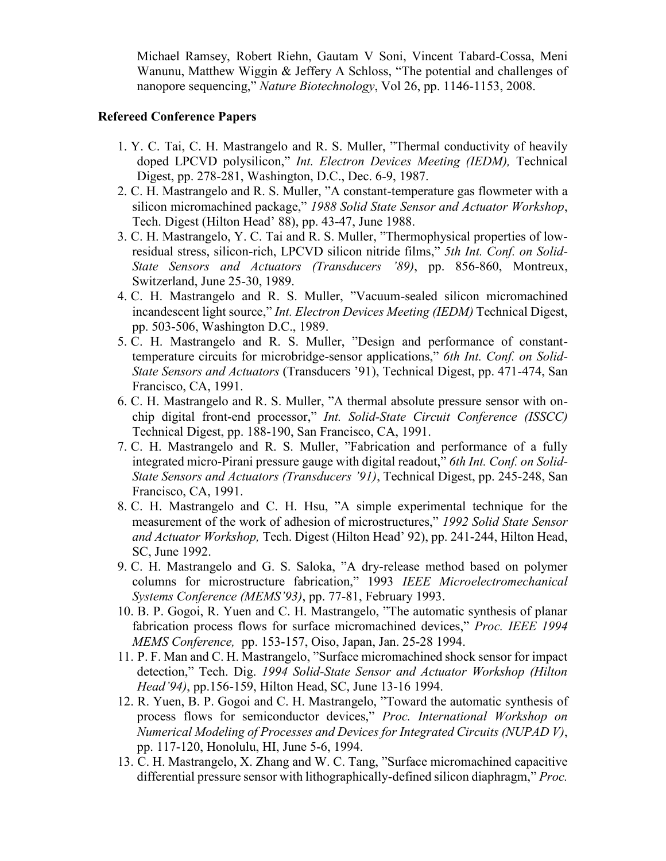Michael Ramsey, Robert Riehn, Gautam V Soni, Vincent Tabard-Cossa, Meni Wanunu, Matthew Wiggin & Jeffery A Schloss, "The potential and challenges of nanopore sequencing," *Nature Biotechnology*, Vol 26, pp. 1146-1153, 2008.

#### **Refereed Conference Papers**

- 1. Y. C. Tai, C. H. Mastrangelo and R. S. Muller, "Thermal conductivity of heavily doped LPCVD polysilicon," *Int. Electron Devices Meeting (IEDM),* Technical Digest, pp. 278-281, Washington, D.C., Dec. 6-9, 1987.
- 2. C. H. Mastrangelo and R. S. Muller, "A constant-temperature gas flowmeter with a silicon micromachined package," *1988 Solid State Sensor and Actuator Workshop*, Tech. Digest (Hilton Head' 88), pp. 43-47, June 1988.
- 3. C. H. Mastrangelo, Y. C. Tai and R. S. Muller, "Thermophysical properties of lowresidual stress, silicon-rich, LPCVD silicon nitride films," *5th Int. Conf. on Solid-State Sensors and Actuators (Transducers '89)*, pp. 856-860, Montreux, Switzerland, June 25-30, 1989.
- 4. C. H. Mastrangelo and R. S. Muller, "Vacuum-sealed silicon micromachined incandescent light source," *Int. Electron Devices Meeting (IEDM)* Technical Digest, pp. 503-506, Washington D.C., 1989.
- 5. C. H. Mastrangelo and R. S. Muller, "Design and performance of constanttemperature circuits for microbridge-sensor applications," *6th Int. Conf. on Solid-State Sensors and Actuators* (Transducers '91), Technical Digest, pp. 471-474, San Francisco, CA, 1991.
- 6. C. H. Mastrangelo and R. S. Muller, "A thermal absolute pressure sensor with onchip digital front-end processor," *Int. Solid-State Circuit Conference (ISSCC)* Technical Digest, pp. 188-190, San Francisco, CA, 1991.
- 7. C. H. Mastrangelo and R. S. Muller, "Fabrication and performance of a fully integrated micro-Pirani pressure gauge with digital readout," *6th Int. Conf. on Solid-State Sensors and Actuators (Transducers '91)*, Technical Digest, pp. 245-248, San Francisco, CA, 1991.
- 8. C. H. Mastrangelo and C. H. Hsu, "A simple experimental technique for the measurement of the work of adhesion of microstructures," *1992 Solid State Sensor and Actuator Workshop,* Tech. Digest (Hilton Head' 92), pp. 241-244, Hilton Head, SC, June 1992.
- 9. C. H. Mastrangelo and G. S. Saloka, "A dry-release method based on polymer columns for microstructure fabrication," 1993 *IEEE Microelectromechanical Systems Conference (MEMS'93)*, pp. 77-81, February 1993.
- 10. B. P. Gogoi, R. Yuen and C. H. Mastrangelo, "The automatic synthesis of planar fabrication process flows for surface micromachined devices," *Proc. IEEE 1994 MEMS Conference,* pp. 153-157, Oiso, Japan, Jan. 25-28 1994.
- 11. P. F. Man and C. H. Mastrangelo, "Surface micromachined shock sensor for impact detection," Tech. Dig. *1994 Solid-State Sensor and Actuator Workshop (Hilton Head'94)*, pp.156-159, Hilton Head, SC, June 13-16 1994.
- 12. R. Yuen, B. P. Gogoi and C. H. Mastrangelo, "Toward the automatic synthesis of process flows for semiconductor devices," *Proc. International Workshop on Numerical Modeling of Processes and Devices for Integrated Circuits (NUPAD V)*, pp. 117-120, Honolulu, HI, June 5-6, 1994.
- 13. C. H. Mastrangelo, X. Zhang and W. C. Tang, "Surface micromachined capacitive differential pressure sensor with lithographically-defined silicon diaphragm," *Proc.*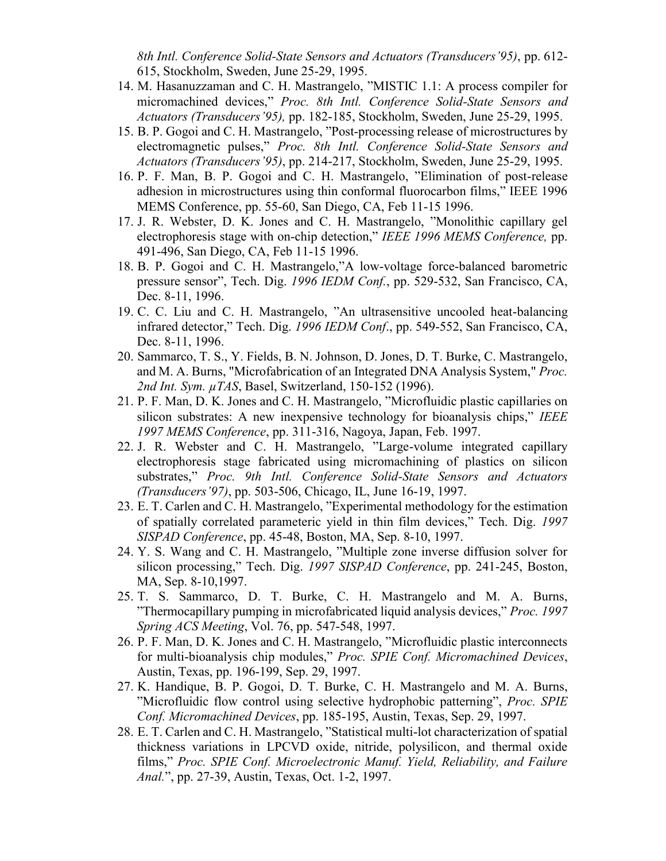*8th Intl. Conference Solid-State Sensors and Actuators (Transducers'95)*, pp. 612- 615, Stockholm, Sweden, June 25-29, 1995.

- 14. M. Hasanuzzaman and C. H. Mastrangelo, "MISTIC 1.1: A process compiler for micromachined devices," *Proc. 8th Intl. Conference Solid-State Sensors and Actuators (Transducers'95),* pp. 182-185, Stockholm, Sweden, June 25-29, 1995.
- 15. B. P. Gogoi and C. H. Mastrangelo, "Post-processing release of microstructures by electromagnetic pulses," *Proc. 8th Intl. Conference Solid-State Sensors and Actuators (Transducers'95)*, pp. 214-217, Stockholm, Sweden, June 25-29, 1995.
- 16. P. F. Man, B. P. Gogoi and C. H. Mastrangelo, "Elimination of post-release adhesion in microstructures using thin conformal fluorocarbon films," IEEE 1996 MEMS Conference, pp. 55-60, San Diego, CA, Feb 11-15 1996.
- 17. J. R. Webster, D. K. Jones and C. H. Mastrangelo, "Monolithic capillary gel electrophoresis stage with on-chip detection," *IEEE 1996 MEMS Conference,* pp. 491-496, San Diego, CA, Feb 11-15 1996.
- 18. B. P. Gogoi and C. H. Mastrangelo,"A low-voltage force-balanced barometric pressure sensor", Tech. Dig. *1996 IEDM Conf.*, pp. 529-532, San Francisco, CA, Dec. 8-11, 1996.
- 19. C. C. Liu and C. H. Mastrangelo, "An ultrasensitive uncooled heat-balancing infrared detector," Tech. Dig. *1996 IEDM Conf*., pp. 549-552, San Francisco, CA, Dec. 8-11, 1996.
- 20. Sammarco, T. S., Y. Fields, B. N. Johnson, D. Jones, D. T. Burke, C. Mastrangelo, and M. A. Burns, "Microfabrication of an Integrated DNA Analysis System," *Proc. 2nd Int. Sym. µTAS*, Basel, Switzerland, 150-152 (1996).
- 21. P. F. Man, D. K. Jones and C. H. Mastrangelo, "Microfluidic plastic capillaries on silicon substrates: A new inexpensive technology for bioanalysis chips," *IEEE 1997 MEMS Conference*, pp. 311-316, Nagoya, Japan, Feb. 1997.
- 22. J. R. Webster and C. H. Mastrangelo, "Large-volume integrated capillary electrophoresis stage fabricated using micromachining of plastics on silicon substrates," *Proc. 9th Intl. Conference Solid-State Sensors and Actuators (Transducers'97)*, pp. 503-506, Chicago, IL, June 16-19, 1997.
- 23. E. T. Carlen and C. H. Mastrangelo, "Experimental methodology for the estimation of spatially correlated parameteric yield in thin film devices," Tech. Dig. *1997 SISPAD Conference*, pp. 45-48, Boston, MA, Sep. 8-10, 1997.
- 24. Y. S. Wang and C. H. Mastrangelo, "Multiple zone inverse diffusion solver for silicon processing," Tech. Dig. *1997 SISPAD Conference*, pp. 241-245, Boston, MA, Sep. 8-10,1997.
- 25. T. S. Sammarco, D. T. Burke, C. H. Mastrangelo and M. A. Burns, "Thermocapillary pumping in microfabricated liquid analysis devices," *Proc. 1997 Spring ACS Meeting*, Vol. 76, pp. 547-548, 1997.
- 26. P. F. Man, D. K. Jones and C. H. Mastrangelo, "Microfluidic plastic interconnects for multi-bioanalysis chip modules," *Proc. SPIE Conf. Micromachined Devices*, Austin, Texas, pp. 196-199, Sep. 29, 1997.
- 27. K. Handique, B. P. Gogoi, D. T. Burke, C. H. Mastrangelo and M. A. Burns, "Microfluidic flow control using selective hydrophobic patterning", *Proc. SPIE Conf. Micromachined Devices*, pp. 185-195, Austin, Texas, Sep. 29, 1997.
- 28. E. T. Carlen and C. H. Mastrangelo, "Statistical multi-lot characterization of spatial thickness variations in LPCVD oxide, nitride, polysilicon, and thermal oxide films," *Proc. SPIE Conf. Microelectronic Manuf. Yield, Reliability, and Failure Anal.*", pp. 27-39, Austin, Texas, Oct. 1-2, 1997.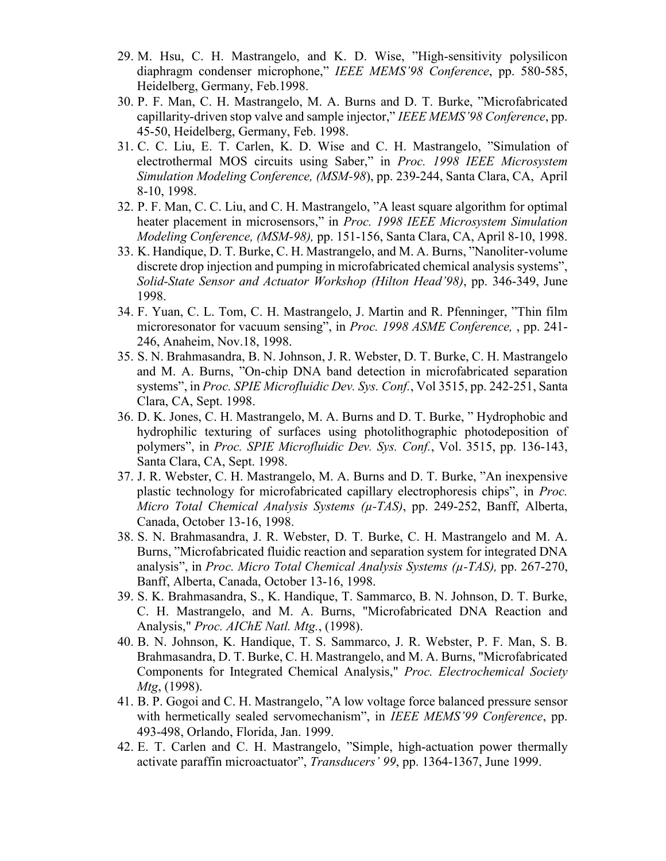- 29. M. Hsu, C. H. Mastrangelo, and K. D. Wise, "High-sensitivity polysilicon diaphragm condenser microphone," *IEEE MEMS'98 Conference*, pp. 580-585, Heidelberg, Germany, Feb.1998.
- 30. P. F. Man, C. H. Mastrangelo, M. A. Burns and D. T. Burke, "Microfabricated capillarity-driven stop valve and sample injector," *IEEE MEMS'98 Conference*, pp. 45-50, Heidelberg, Germany, Feb. 1998.
- 31. C. C. Liu, E. T. Carlen, K. D. Wise and C. H. Mastrangelo, "Simulation of electrothermal MOS circuits using Saber," in *Proc. 1998 IEEE Microsystem Simulation Modeling Conference, (MSM-98*), pp. 239-244, Santa Clara, CA, April 8-10, 1998.
- 32. P. F. Man, C. C. Liu, and C. H. Mastrangelo, "A least square algorithm for optimal heater placement in microsensors," in *Proc. 1998 IEEE Microsystem Simulation Modeling Conference, (MSM-98),* pp. 151-156, Santa Clara, CA, April 8-10, 1998.
- 33. K. Handique, D. T. Burke, C. H. Mastrangelo, and M. A. Burns, "Nanoliter-volume discrete drop injection and pumping in microfabricated chemical analysis systems", *Solid-State Sensor and Actuator Workshop (Hilton Head'98)*, pp. 346-349, June 1998.
- 34. F. Yuan, C. L. Tom, C. H. Mastrangelo, J. Martin and R. Pfenninger, "Thin film microresonator for vacuum sensing", in *Proc. 1998 ASME Conference,* , pp. 241- 246, Anaheim, Nov.18, 1998.
- 35. S. N. Brahmasandra, B. N. Johnson, J. R. Webster, D. T. Burke, C. H. Mastrangelo and M. A. Burns, "On-chip DNA band detection in microfabricated separation systems", in *Proc. SPIE Microfluidic Dev. Sys. Conf.*, Vol 3515, pp. 242-251, Santa Clara, CA, Sept. 1998.
- 36. D. K. Jones, C. H. Mastrangelo, M. A. Burns and D. T. Burke, " Hydrophobic and hydrophilic texturing of surfaces using photolithographic photodeposition of polymers", in *Proc. SPIE Microfluidic Dev. Sys. Conf.*, Vol. 3515, pp. 136-143, Santa Clara, CA, Sept. 1998.
- 37. J. R. Webster, C. H. Mastrangelo, M. A. Burns and D. T. Burke, "An inexpensive plastic technology for microfabricated capillary electrophoresis chips", in *Proc. Micro Total Chemical Analysis Systems (µ-TAS)*, pp. 249-252, Banff, Alberta, Canada, October 13-16, 1998.
- 38. S. N. Brahmasandra, J. R. Webster, D. T. Burke, C. H. Mastrangelo and M. A. Burns, "Microfabricated fluidic reaction and separation system for integrated DNA analysis", in *Proc. Micro Total Chemical Analysis Systems (µ-TAS),* pp. 267-270, Banff, Alberta, Canada, October 13-16, 1998.
- 39. S. K. Brahmasandra, S., K. Handique, T. Sammarco, B. N. Johnson, D. T. Burke, C. H. Mastrangelo, and M. A. Burns, "Microfabricated DNA Reaction and Analysis," *Proc. AIChE Natl. Mtg.*, (1998).
- 40. B. N. Johnson, K. Handique, T. S. Sammarco, J. R. Webster, P. F. Man, S. B. Brahmasandra, D. T. Burke, C. H. Mastrangelo, and M. A. Burns, "Microfabricated Components for Integrated Chemical Analysis," *Proc. Electrochemical Society Mtg*, (1998).
- 41. B. P. Gogoi and C. H. Mastrangelo, "A low voltage force balanced pressure sensor with hermetically sealed servomechanism", in *IEEE MEMS'99 Conference*, pp. 493-498, Orlando, Florida, Jan. 1999.
- 42. E. T. Carlen and C. H. Mastrangelo, "Simple, high-actuation power thermally activate paraffin microactuator", *Transducers' 99*, pp. 1364-1367, June 1999.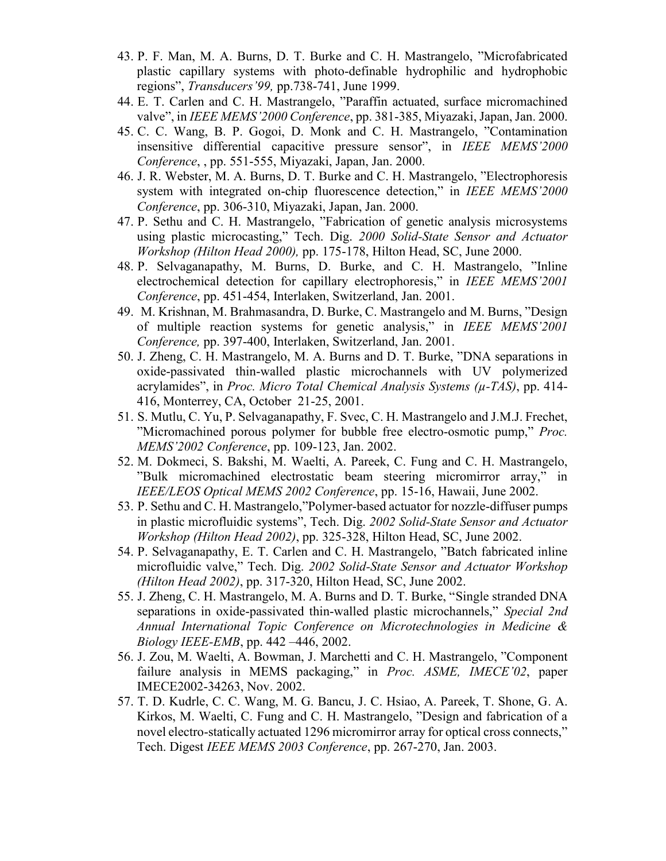- 43. P. F. Man, M. A. Burns, D. T. Burke and C. H. Mastrangelo, "Microfabricated plastic capillary systems with photo-definable hydrophilic and hydrophobic regions", *Transducers'99,* pp.738-741, June 1999.
- 44. E. T. Carlen and C. H. Mastrangelo, "Paraffin actuated, surface micromachined valve", in *IEEE MEMS'2000 Conference*, pp. 381-385, Miyazaki, Japan, Jan. 2000.
- 45. C. C. Wang, B. P. Gogoi, D. Monk and C. H. Mastrangelo, "Contamination insensitive differential capacitive pressure sensor", in *IEEE MEMS'2000 Conference*, , pp. 551-555, Miyazaki, Japan, Jan. 2000.
- 46. J. R. Webster, M. A. Burns, D. T. Burke and C. H. Mastrangelo, "Electrophoresis system with integrated on-chip fluorescence detection," in *IEEE MEMS'2000 Conference*, pp. 306-310, Miyazaki, Japan, Jan. 2000.
- 47. P. Sethu and C. H. Mastrangelo, "Fabrication of genetic analysis microsystems using plastic microcasting," Tech. Dig. *2000 Solid-State Sensor and Actuator Workshop (Hilton Head 2000),* pp. 175-178, Hilton Head, SC, June 2000.
- 48. P. Selvaganapathy, M. Burns, D. Burke, and C. H. Mastrangelo, "Inline electrochemical detection for capillary electrophoresis," in *IEEE MEMS'2001 Conference*, pp. 451-454, Interlaken, Switzerland, Jan. 2001.
- 49. M. Krishnan, M. Brahmasandra, D. Burke, C. Mastrangelo and M. Burns, "Design of multiple reaction systems for genetic analysis," in *IEEE MEMS'2001 Conference,* pp. 397-400, Interlaken, Switzerland, Jan. 2001.
- 50. J. Zheng, C. H. Mastrangelo, M. A. Burns and D. T. Burke, "DNA separations in oxide-passivated thin-walled plastic microchannels with UV polymerized acrylamides", in *Proc. Micro Total Chemical Analysis Systems (µ-TAS)*, pp. 414- 416, Monterrey, CA, October 21-25, 2001.
- 51. S. Mutlu, C. Yu, P. Selvaganapathy, F. Svec, C. H. Mastrangelo and J.M.J. Frechet, "Micromachined porous polymer for bubble free electro-osmotic pump," *Proc. MEMS'2002 Conference*, pp. 109-123, Jan. 2002.
- 52. M. Dokmeci, S. Bakshi, M. Waelti, A. Pareek, C. Fung and C. H. Mastrangelo, "Bulk micromachined electrostatic beam steering micromirror array," in *IEEE/LEOS Optical MEMS 2002 Conference*, pp. 15-16, Hawaii, June 2002.
- 53. P. Sethu and C. H. Mastrangelo,"Polymer-based actuator for nozzle-diffuser pumps in plastic microfluidic systems", Tech. Dig. *2002 Solid-State Sensor and Actuator Workshop (Hilton Head 2002)*, pp. 325-328, Hilton Head, SC, June 2002.
- 54. P. Selvaganapathy, E. T. Carlen and C. H. Mastrangelo, "Batch fabricated inline microfluidic valve," Tech. Dig. *2002 Solid-State Sensor and Actuator Workshop (Hilton Head 2002)*, pp. 317-320, Hilton Head, SC, June 2002.
- 55. J. Zheng, C. H. Mastrangelo, M. A. Burns and D. T. Burke, "Single stranded DNA separations in oxide-passivated thin-walled plastic microchannels," *TSpecial 2nd Annual International Topic Conference on Microtechnologies in Medicine & Biology IEEE-EMB*, pp. 442 –446, 2002.
- 56. J. Zou, M. Waelti, A. Bowman, J. Marchetti and C. H. Mastrangelo, "Component failure analysis in MEMS packaging," in *Proc. ASME, IMECE'02*, paper IMECE2002-34263, Nov. 2002.
- 57. T. D. Kudrle, C. C. Wang, M. G. Bancu, J. C. Hsiao, A. Pareek, T. Shone, G. A. Kirkos, M. Waelti, C. Fung and C. H. Mastrangelo, "Design and fabrication of a novel electro-statically actuated 1296 micromirror array for optical cross connects," Tech. Digest *IEEE MEMS 2003 Conference*, pp. 267-270, Jan. 2003.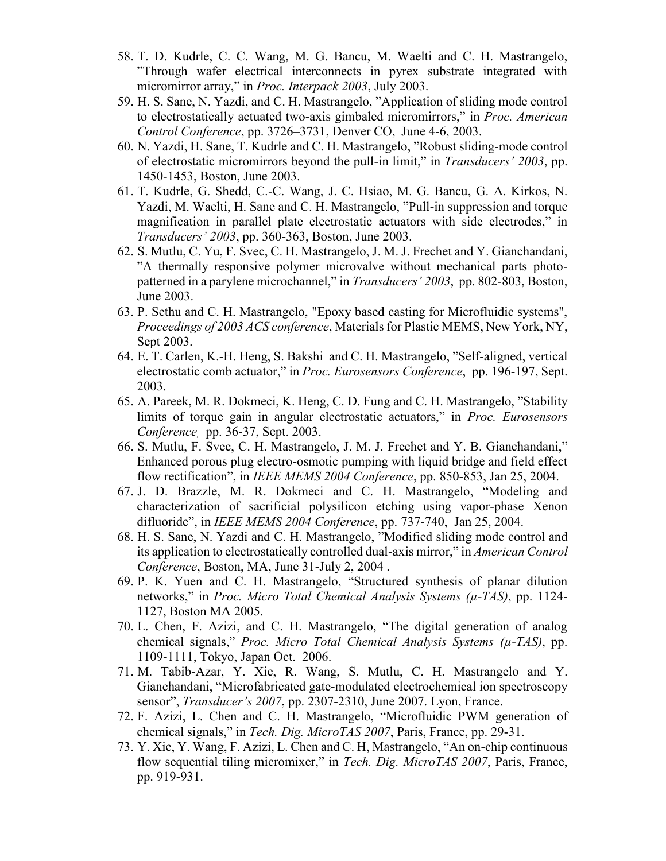- 58. T. D. Kudrle, C. C. Wang, M. G. Bancu, M. Waelti and C. H. Mastrangelo, "Through wafer electrical interconnects in pyrex substrate integrated with micromirror array," in *Proc. Interpack 2003*, July 2003.
- 59. H. S. Sane, N. Yazdi, and C. H. Mastrangelo, "Application of sliding mode control to electrostatically actuated two-axis gimbaled micromirrors," in *Proc. American Control Conference*, pp. 3726–3731, Denver CO, June 4-6, 2003.
- 60. N. Yazdi, H. Sane, T. Kudrle and C. H. Mastrangelo, "Robust sliding-mode control of electrostatic micromirrors beyond the pull-in limit," in *Transducers' 2003*, pp. 1450-1453, Boston, June 2003.
- 61. T. Kudrle, G. Shedd, C.-C. Wang, J. C. Hsiao, M. G. Bancu, G. A. Kirkos, N. Yazdi, M. Waelti, H. Sane and C. H. Mastrangelo, "Pull-in suppression and torque magnification in parallel plate electrostatic actuators with side electrodes," in *Transducers' 2003*, pp. 360-363, Boston, June 2003.
- 62. S. Mutlu, C. Yu, F. Svec, C. H. Mastrangelo, J. M. J. Frechet and Y. Gianchandani, "A thermally responsive polymer microvalve without mechanical parts photopatterned in a parylene microchannel," in *Transducers' 2003*, pp. 802-803, Boston, June 2003.
- 63. P. Sethu and C. H. Mastrangelo, "Epoxy based casting for Microfluidic systems", *Proceedings of 2003 ACS conference*, Materials for Plastic MEMS, New York, NY, Sept 2003.
- 64. E. T. Carlen, K.-H. Heng, S. Bakshi and C. H. Mastrangelo, "Self-aligned, vertical electrostatic comb actuator," in *Proc. Eurosensors Conference*, pp. 196-197, Sept. 2003.
- 65. A. Pareek, M. R. Dokmeci, K. Heng, C. D. Fung and C. H. Mastrangelo, "Stability limits of torque gain in angular electrostatic actuators," in *Proc. Eurosensors Conference,* pp. 36-37, Sept. 2003.
- 66. S. Mutlu, F. Svec, C. H. Mastrangelo, J. M. J. Frechet and Y. B. Gianchandani," Enhanced porous plug electro-osmotic pumping with liquid bridge and field effect flow rectification", in *IEEE MEMS 2004 Conference*, pp. 850-853, Jan 25, 2004.
- 67. J. D. Brazzle, M. R. Dokmeci and C. H. Mastrangelo, "Modeling and characterization of sacrificial polysilicon etching using vapor-phase Xenon difluoride", in *IEEE MEMS 2004 Conference*, pp. 737-740, Jan 25, 2004.
- 68. H. S. Sane, N. Yazdi and C. H. Mastrangelo, "Modified sliding mode control and its application to electrostatically controlled dual-axis mirror," in *American Control Conference*, Boston, MA, June 31-July 2, 2004 .
- 69. P. K. Yuen and C. H. Mastrangelo, "Structured synthesis of planar dilution networks," in *Proc. Micro Total Chemical Analysis Systems (µ-TAS)*, pp. 1124- 1127, Boston MA 2005.
- 70. L. Chen, F. Azizi, and C. H. Mastrangelo, "The digital generation of analog chemical signals," *Proc. Micro Total Chemical Analysis Systems (µ-TAS)*, pp. 1109-1111, Tokyo, Japan Oct. 2006.
- 71. M. Tabib-Azar, Y. Xie, R. Wang, S. Mutlu, C. H. Mastrangelo and Y. Gianchandani, "Microfabricated gate-modulated electrochemical ion spectroscopy sensor", *Transducer's 2007*, pp. 2307-2310, June 2007. Lyon, France.
- 72. F. Azizi, L. Chen and C. H. Mastrangelo, "Microfluidic PWM generation of chemical signals," in *Tech. Dig. MicroTAS 2007*, Paris, France, pp. 29-31.
- 73. Y. Xie, Y. Wang, F. Azizi, L. Chen and C. H, Mastrangelo, "An on-chip continuous flow sequential tiling micromixer," in *Tech. Dig. MicroTAS 2007*, Paris, France, pp. 919-931.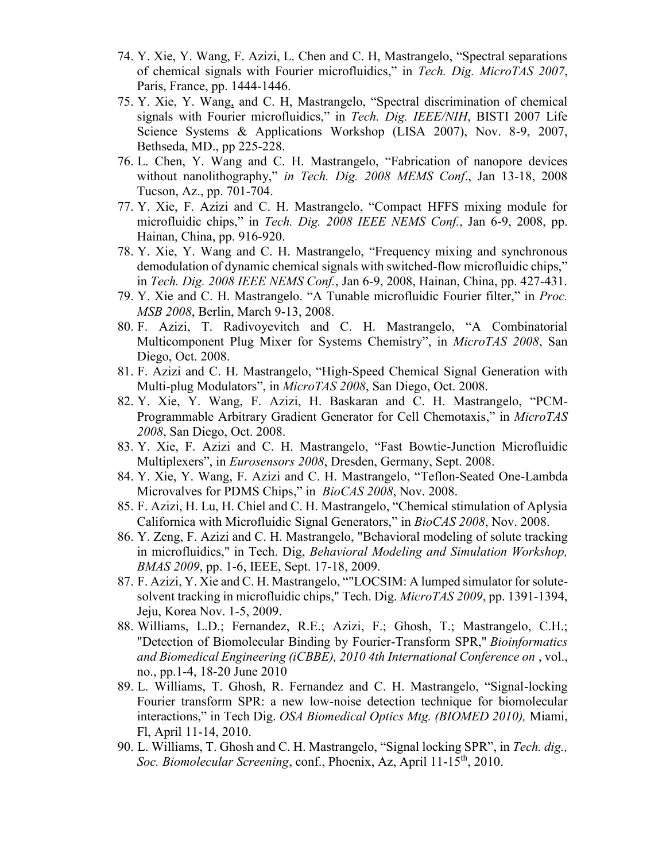- 74. Y. Xie, Y. Wang, F. Azizi, L. Chen and C. H, Mastrangelo, "Spectral separations of chemical signals with Fourier microfluidics," in *Tech. Dig. MicroTAS 2007*, Paris, France, pp. 1444-1446.
- 75. Y. Xie, Y. Wang, and C. H, Mastrangelo, "Spectral discrimination of chemical signals with Fourier microfluidics," in *Tech. Dig. IEEE/NIH*, BISTI 2007 Life Science Systems & Applications Workshop (LISA 2007), Nov. 8-9, 2007, Bethseda, MD., pp 225-228.
- 76. L. Chen, Y. Wang and C. H. Mastrangelo, "Fabrication of nanopore devices without nanolithography," *in Tech. Dig. 2008 MEMS Conf*., Jan 13-18, 2008 Tucson, Az., pp. 701-704.
- 77. Y. Xie, F. Azizi and C. H. Mastrangelo, "Compact HFFS mixing module for microfluidic chips," in *Tech. Dig. 2008 IEEE NEMS Conf.*, Jan 6-9, 2008, pp. Hainan, China, pp. 916-920.
- 78. Y. Xie, Y. Wang and C. H. Mastrangelo, "Frequency mixing and synchronous demodulation of dynamic chemical signals with switched-flow microfluidic chips," in *Tech. Dig. 2008 IEEE NEMS Conf.*, Jan 6-9, 2008, Hainan, China, pp. 427-431.
- 79. Y. Xie and C. H. Mastrangelo. "A Tunable microfluidic Fourier filter," in *Proc. MSB 2008*, Berlin, March 9-13, 2008.
- 80. F. Azizi, T. Radivoyevitch and C. H. Mastrangelo, "A Combinatorial Multicomponent Plug Mixer for Systems Chemistry", in *MicroTAS 2008*, San Diego, Oct. 2008.
- 81. F. Azizi and C. H. Mastrangelo, "High-Speed Chemical Signal Generation with Multi-plug Modulators", in *MicroTAS 2008*, San Diego, Oct. 2008.
- 82. Y. Xie, Y. Wang, F. Azizi, H. Baskaran and C. H. Mastrangelo, "PCM-Programmable Arbitrary Gradient Generator for Cell Chemotaxis," in *MicroTAS 2008*, San Diego, Oct. 2008.
- 83. Y. Xie, F. Azizi and C. H. Mastrangelo, "Fast Bowtie-Junction Microfluidic Multiplexers", in *Eurosensors 2008*, Dresden, Germany, Sept. 2008.
- 84. Y. Xie, Y. Wang, F. Azizi and C. H. Mastrangelo, "Teflon-Seated One-Lambda Microvalves for PDMS Chips," in *BioCAS 2008*, Nov. 2008.
- 85. F. Azizi, H. Lu, H. Chiel and C. H. Mastrangelo, "Chemical stimulation of Aplysia Californica with Microfluidic Signal Generators," in *BioCAS 2008*, Nov. 2008.
- 86. Y. Zeng, F. Azizi and C. H. Mastrangelo, "Behavioral modeling of solute tracking in microfluidics," in Tech. Dig, *Behavioral Modeling and Simulation Workshop, BMAS 2009*, pp. 1-6, IEEE, Sept. 17-18, 2009.
- 87. F. Azizi, Y. Xie and C. H. Mastrangelo, ""LOCSIM: A lumped simulator for solutesolvent tracking in microfluidic chips," Tech. Dig. *MicroTAS 2009*, pp. 1391-1394, Jeju, Korea Nov. 1-5, 2009.
- 88. Williams, L.D.; Fernandez, R.E.; Azizi, F.; Ghosh, T.; Mastrangelo, C.H.; "Detection of Biomolecular Binding by Fourier-Transform SPR," *Bioinformatics and Biomedical Engineering (iCBBE), 2010 4th International Conference on* , vol., no., pp.1-4, 18-20 June 2010
- 89. L. Williams, T. Ghosh, R. Fernandez and C. H. Mastrangelo, "Signal-locking Fourier transform SPR: a new low-noise detection technique for biomolecular interactions," in Tech Dig. *OSA Biomedical Optics Mtg. (BIOMED 2010),* Miami, Fl, April 11-14, 2010.
- 90. L. Williams, T. Ghosh and C. H. Mastrangelo, "Signal locking SPR", in *Tech. dig., Soc. Biomolecular Screening*, conf., Phoenix, Az, April 11-15th, 2010.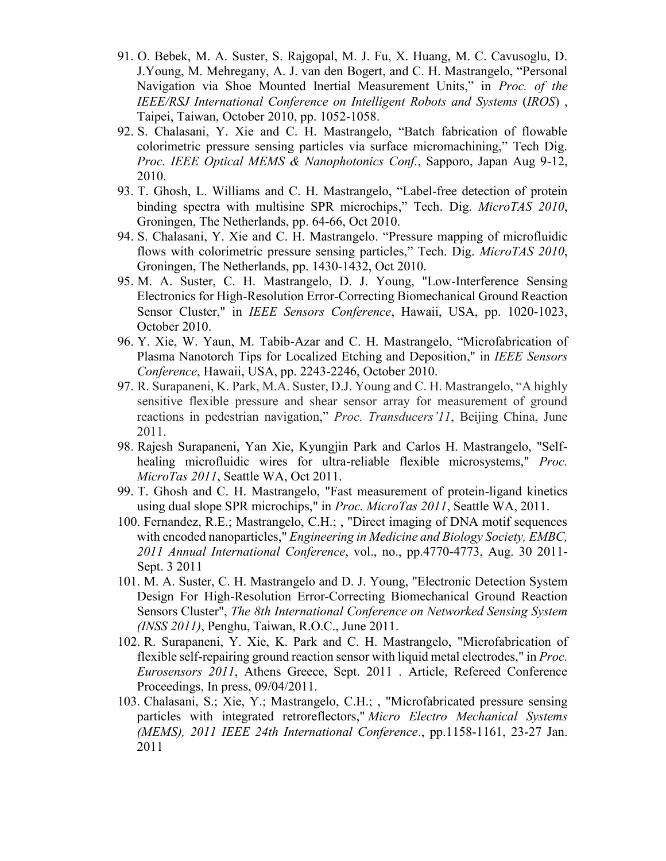- 91. O. Bebek, M. A. Suster, S. Rajgopal, M. J. Fu, X. Huang, M. C. Cavusoglu, D. J.Young, M. Mehregany, A. J. van den Bogert, and C. H. Mastrangelo, "Personal Navigation via Shoe Mounted Inertial Measurement Units," in *Proc. of the IEEE/RSJ International Conference on Intelligent Robots and Systems* (*IROS*) , Taipei, Taiwan, October 2010, pp. 1052-1058.
- 92. S. Chalasani, Y. Xie and C. H. Mastrangelo, "Batch fabrication of flowable colorimetric pressure sensing particles via surface micromachining," Tech Dig. *Proc. IEEE Optical MEMS & Nanophotonics Conf.*, Sapporo, Japan Aug 9-12, 2010.
- 93. T. Ghosh, L. Williams and C. H. Mastrangelo, "Label-free detection of protein binding spectra with multisine SPR microchips," Tech. Dig. *MicroTAS 2010*, Groningen, The Netherlands, pp. 64-66, Oct 2010.
- 94. S. Chalasani, Y. Xie and C. H. Mastrangelo. "Pressure mapping of microfluidic flows with colorimetric pressure sensing particles," Tech. Dig. *MicroTAS 2010*, Groningen, The Netherlands, pp. 1430-1432, Oct 2010.
- 95. M. A. Suster, C. H. Mastrangelo, D. J. Young, "Low-Interference Sensing Electronics for High-Resolution Error-Correcting Biomechanical Ground Reaction Sensor Cluster," in *IEEE Sensors Conference*, Hawaii, USA, pp. 1020-1023, October 2010.
- 96. Y. Xie, W. Yaun, M. Tabib-Azar and C. H. Mastrangelo, "Microfabrication of Plasma Nanotorch Tips for Localized Etching and Deposition," in *IEEE Sensors Conference*, Hawaii, USA, pp. 2243-2246, October 2010.
- 97. R. Surapaneni, K. Park, M.A. Suster, D.J. Young and C. H. Mastrangelo, "A highly sensitive flexible pressure and shear sensor array for measurement of ground reactions in pedestrian navigation," *Proc. Transducers'11*, Beijing China, June 2011.
- 98. Rajesh Surapaneni, Yan Xie, Kyungjin Park and Carlos H. Mastrangelo, "Selfhealing microfluidic wires for ultra-reliable flexible microsystems," *Proc. MicroTas 2011*, Seattle WA, Oct 2011.
- 99. T. Ghosh and C. H. Mastrangelo, "Fast measurement of protein-ligand kinetics using dual slope SPR microchips," in *Proc. MicroTas 2011*, Seattle WA, 2011.
- 100. Fernandez, R.E.; Mastrangelo, C.H.; , "Direct imaging of DNA motif sequences with encoded nanoparticles," *Engineering in Medicine and Biology Society, EMBC, 2011 Annual International Conference*, vol., no., pp.4770-4773, Aug. 30 2011- Sept. 3 2011
- 101. M. A. Suster, C. H. Mastrangelo and D. J. Young, "Electronic Detection System Design For High-Resolution Error-Correcting Biomechanical Ground Reaction Sensors Cluster", *The 8th International Conference on Networked Sensing System (INSS 2011)*, Penghu, Taiwan, R.O.C., June 2011.
- 102. R. Surapaneni, Y. Xie, K. Park and C. H. Mastrangelo, "Microfabrication of flexible self-repairing ground reaction sensor with liquid metal electrodes," in *Proc. Eurosensors 2011*, Athens Greece, Sept. 2011 . Article, Refereed Conference Proceedings, In press, 09/04/2011.
- 103. Chalasani, S.; Xie, Y.; Mastrangelo, C.H.; , "Microfabricated pressure sensing particles with integrated retroreflectors," *Micro Electro Mechanical Systems (MEMS), 2011 IEEE 24th International Conference*., pp.1158-1161, 23-27 Jan. 2011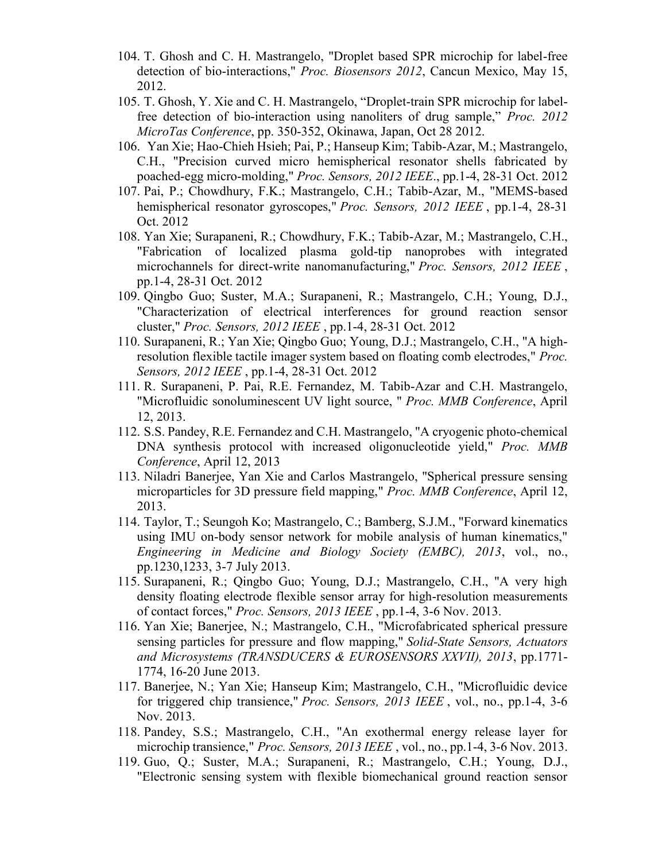- 104. T. Ghosh and C. H. Mastrangelo, "Droplet based SPR microchip for label-free detection of bio-interactions," *Proc. Biosensors 2012*, Cancun Mexico, May 15, 2012.
- 105. T. Ghosh, Y. Xie and C. H. Mastrangelo, "Droplet-train SPR microchip for labelfree detection of bio-interaction using nanoliters of drug sample," *Proc. 2012 MicroTas Conference*, pp. 350-352, Okinawa, Japan, Oct 28 2012.
- 106. Yan Xie; Hao-Chieh Hsieh; Pai, P.; Hanseup Kim; Tabib-Azar, M.; Mastrangelo, C.H., "Precision curved micro hemispherical resonator shells fabricated by poached-egg micro-molding," *Proc. Sensors, 2012 IEEE*., pp.1-4, 28-31 Oct. 2012
- 107. Pai, P.; Chowdhury, F.K.; Mastrangelo, C.H.; Tabib-Azar, M., "MEMS-based hemispherical resonator gyroscopes," *Proc. Sensors, 2012 IEEE* , pp.1-4, 28-31 Oct. 2012
- 108. Yan Xie; Surapaneni, R.; Chowdhury, F.K.; Tabib-Azar, M.; Mastrangelo, C.H., "Fabrication of localized plasma gold-tip nanoprobes with integrated microchannels for direct-write nanomanufacturing," *Proc. Sensors, 2012 IEEE* , pp.1-4, 28-31 Oct. 2012
- 109. Qingbo Guo; Suster, M.A.; Surapaneni, R.; Mastrangelo, C.H.; Young, D.J., "Characterization of electrical interferences for ground reaction sensor cluster," *Proc. Sensors, 2012 IEEE* , pp.1-4, 28-31 Oct. 2012
- 110. Surapaneni, R.; Yan Xie; Qingbo Guo; Young, D.J.; Mastrangelo, C.H., "A highresolution flexible tactile imager system based on floating comb electrodes," *Proc. Sensors, 2012 IEEE* , pp.1-4, 28-31 Oct. 2012
- 111. R. Surapaneni, P. Pai, R.E. Fernandez, M. Tabib-Azar and C.H. Mastrangelo, "Microfluidic sonoluminescent UV light source, " *Proc. MMB Conference*, April 12, 2013.
- 112. S.S. Pandey, R.E. Fernandez and C.H. Mastrangelo, "A cryogenic photo-chemical DNA synthesis protocol with increased oligonucleotide yield," *Proc. MMB Conference*, April 12, 2013
- 113. Niladri Banerjee, Yan Xie and Carlos Mastrangelo, "Spherical pressure sensing microparticles for 3D pressure field mapping," *Proc. MMB Conference*, April 12, 2013.
- 114. Taylor, T.; Seungoh Ko; Mastrangelo, C.; Bamberg, S.J.M., "Forward kinematics using IMU on-body sensor network for mobile analysis of human kinematics," *Engineering in Medicine and Biology Society (EMBC), 2013*, vol., no., pp.1230,1233, 3-7 July 2013.
- 115. Surapaneni, R.; Qingbo Guo; Young, D.J.; Mastrangelo, C.H., "A very high density floating electrode flexible sensor array for high-resolution measurements of contact forces," *Proc. Sensors, 2013 IEEE* , pp.1-4, 3-6 Nov. 2013.
- 116. Yan Xie; Banerjee, N.; Mastrangelo, C.H., "Microfabricated spherical pressure sensing particles for pressure and flow mapping," *Solid-State Sensors, Actuators and Microsystems (TRANSDUCERS & EUROSENSORS XXVII), 2013*, pp.1771- 1774, 16-20 June 2013.
- 117. Banerjee, N.; Yan Xie; Hanseup Kim; Mastrangelo, C.H., "Microfluidic device for triggered chip transience," *Proc. Sensors, 2013 IEEE* , vol., no., pp.1-4, 3-6 Nov. 2013.
- 118. Pandey, S.S.; Mastrangelo, C.H., "An exothermal energy release layer for microchip transience," *Proc. Sensors, 2013 IEEE* , vol., no., pp.1-4, 3-6 Nov. 2013.
- 119. Guo, Q.; Suster, M.A.; Surapaneni, R.; Mastrangelo, C.H.; Young, D.J., "Electronic sensing system with flexible biomechanical ground reaction sensor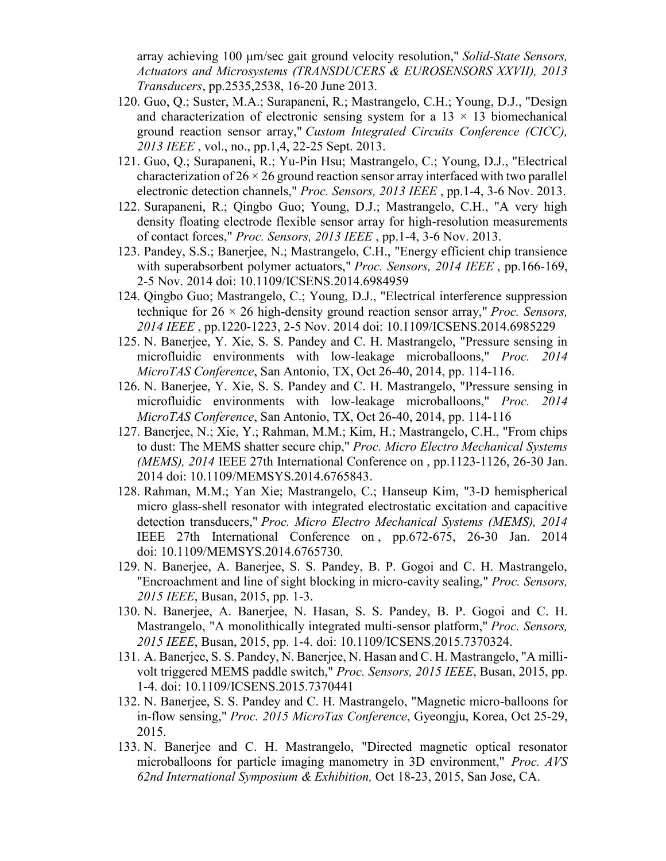array achieving 100 μm/sec gait ground velocity resolution," *Solid-State Sensors, Actuators and Microsystems (TRANSDUCERS & EUROSENSORS XXVII), 2013 Transducers*, pp.2535,2538, 16-20 June 2013.

- 120. Guo, Q.; Suster, M.A.; Surapaneni, R.; Mastrangelo, C.H.; Young, D.J., "Design and characterization of electronic sensing system for a  $13 \times 13$  biomechanical ground reaction sensor array," *Custom Integrated Circuits Conference (CICC), 2013 IEEE* , vol., no., pp.1,4, 22-25 Sept. 2013.
- 121. Guo, Q.; Surapaneni, R.; Yu-Pin Hsu; Mastrangelo, C.; Young, D.J., "Electrical characterization of  $26 \times 26$  ground reaction sensor array interfaced with two parallel electronic detection channels," *Proc. Sensors, 2013 IEEE* , pp.1-4, 3-6 Nov. 2013.
- 122. Surapaneni, R.; Qingbo Guo; Young, D.J.; Mastrangelo, C.H., "A very high density floating electrode flexible sensor array for high-resolution measurements of contact forces," *Proc. Sensors, 2013 IEEE* , pp.1-4, 3-6 Nov. 2013.
- 123. Pandey, S.S.; Banerjee, N.; Mastrangelo, C.H., "Energy efficient chip transience with superabsorbent polymer actuators," *Proc. Sensors, 2014 IEEE* , pp.166-169, 2-5 Nov. 2014 doi: 10.1109/ICSENS.2014.6984959
- 124. Qingbo Guo; Mastrangelo, C.; Young, D.J., "Electrical interference suppression technique for 26 × 26 high-density ground reaction sensor array," *Proc. Sensors, 2014 IEEE* , pp.1220-1223, 2-5 Nov. 2014 doi: 10.1109/ICSENS.2014.6985229
- 125. N. Banerjee, Y. Xie, S. S. Pandey and C. H. Mastrangelo, "Pressure sensing in microfluidic environments with low-leakage microballoons," *Proc. 2014 MicroTAS Conference*, San Antonio, TX, Oct 26-40, 2014, pp. 114-116.
- 126. N. Banerjee, Y. Xie, S. S. Pandey and C. H. Mastrangelo, "Pressure sensing in microfluidic environments with low-leakage microballoons," *Proc. 2014 MicroTAS Conference*, San Antonio, TX, Oct 26-40, 2014, pp. 114-116
- 127. Banerjee, N.; Xie, Y.; Rahman, M.M.; Kim, H.; Mastrangelo, C.H., "From chips to dust: The MEMS shatter secure chip," *Proc. Micro Electro Mechanical Systems (MEMS), 2014* IEEE 27th International Conference on , pp.1123-1126, 26-30 Jan. 2014 doi: 10.1109/MEMSYS.2014.6765843.
- 128. Rahman, M.M.; Yan Xie; Mastrangelo, C.; Hanseup Kim, "3-D hemispherical micro glass-shell resonator with integrated electrostatic excitation and capacitive detection transducers," *Proc. Micro Electro Mechanical Systems (MEMS), 2014* IEEE 27th International Conference on , pp.672-675, 26-30 Jan. 2014 doi: 10.1109/MEMSYS.2014.6765730.
- 129. N. Banerjee, A. Banerjee, S. S. Pandey, B. P. Gogoi and C. H. Mastrangelo, "Encroachment and line of sight blocking in micro-cavity sealing," *Proc. Sensors, 2015 IEEE*, Busan, 2015, pp. 1-3.
- 130. N. Banerjee, A. Banerjee, N. Hasan, S. S. Pandey, B. P. Gogoi and C. H. Mastrangelo, "A monolithically integrated multi-sensor platform," *Proc. Sensors, 2015 IEEE*, Busan, 2015, pp. 1-4. doi: 10.1109/ICSENS.2015.7370324.
- 131. A. Banerjee, S. S. Pandey, N. Banerjee, N. Hasan and C. H. Mastrangelo, "A millivolt triggered MEMS paddle switch," *Proc. Sensors, 2015 IEEE*, Busan, 2015, pp. 1-4. doi: [10.1109/ICSENS.2015.7370441](https://doi.org/10.1109/ICSENS.2015.7370441)
- 132. N. Banerjee, S. S. Pandey and C. H. Mastrangelo, "Magnetic micro-balloons for in-flow sensing," *Proc. 2015 MicroTas Conference*, Gyeongju, Korea, Oct 25-29, 2015.
- 133. N. Banerjee and C. H. Mastrangelo, "Directed magnetic optical resonator microballoons for particle imaging manometry in 3D environment," *Proc. AVS 62nd International Symposium & Exhibition,* Oct 18-23, 2015, San Jose, CA.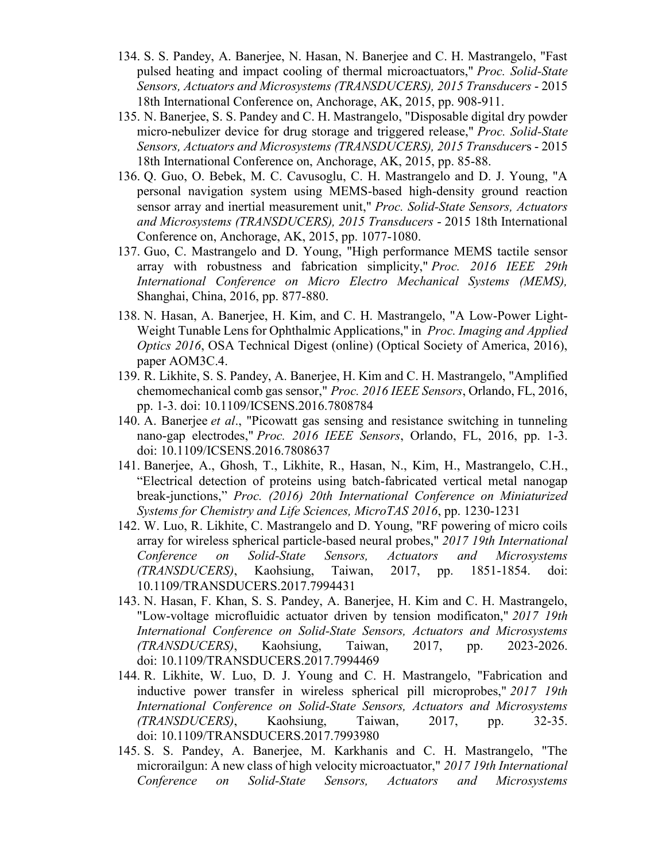- 134. S. S. Pandey, A. Banerjee, N. Hasan, N. Banerjee and C. H. Mastrangelo, "Fast pulsed heating and impact cooling of thermal microactuators," *Proc. Solid-State Sensors, Actuators and Microsystems (TRANSDUCERS), 2015 Transducers* - 2015 18th International Conference on, Anchorage, AK, 2015, pp. 908-911.
- 135. N. Banerjee, S. S. Pandey and C. H. Mastrangelo, "Disposable digital dry powder micro-nebulizer device for drug storage and triggered release," *Proc. Solid-State Sensors, Actuators and Microsystems (TRANSDUCERS), 2015 Transducer*s - 2015 18th International Conference on, Anchorage, AK, 2015, pp. 85-88.
- 136. Q. Guo, O. Bebek, M. C. Cavusoglu, C. H. Mastrangelo and D. J. Young, "A personal navigation system using MEMS-based high-density ground reaction sensor array and inertial measurement unit," *Proc. Solid-State Sensors, Actuators and Microsystems (TRANSDUCERS), 2015 Transducers* - 2015 18th International Conference on, Anchorage, AK, 2015, pp. 1077-1080.
- 137. Guo, C. Mastrangelo and D. Young, "High performance MEMS tactile sensor array with robustness and fabrication simplicity," *Proc. 2016 IEEE 29th International Conference on Micro Electro Mechanical Systems (MEMS),* Shanghai, China, 2016, pp. 877-880.
- 138. N. Hasan, A. Banerjee, H. Kim, and C. H. Mastrangelo, "A Low-Power Light-Weight Tunable Lens for Ophthalmic Applications," in *Proc. Imaging and Applied Optics 2016*, OSA Technical Digest (online) (Optical Society of America, 2016), paper AOM3C.4.
- 139. R. Likhite, S. S. Pandey, A. Banerjee, H. Kim and C. H. Mastrangelo, "Amplified chemomechanical comb gas sensor," *Proc. 2016 IEEE Sensors*, Orlando, FL, 2016, pp. 1-3. doi: 10.1109/ICSENS.2016.7808784
- 140. A. Banerjee *et al*., "Picowatt gas sensing and resistance switching in tunneling nano-gap electrodes," *Proc. 2016 IEEE Sensors*, Orlando, FL, 2016, pp. 1-3. doi: 10.1109/ICSENS.2016.7808637
- 141. Banerjee, A., Ghosh, T., Likhite, R., Hasan, N., Kim, H., Mastrangelo, C.H., "Electrical detection of proteins using batch-fabricated vertical metal nanogap break-junctions," *Proc. (2016) 20th International Conference on Miniaturized Systems for Chemistry and Life Sciences, MicroTAS 2016*, pp. 1230-1231
- 142. W. Luo, R. Likhite, C. Mastrangelo and D. Young, "RF powering of micro coils array for wireless spherical particle-based neural probes," *2017 19th International Conference on Solid-State Sensors, Actuators and Microsystems (TRANSDUCERS)*, Kaohsiung, Taiwan, 2017, pp. 1851-1854. doi: 10.1109/TRANSDUCERS.2017.7994431
- 143. N. Hasan, F. Khan, S. S. Pandey, A. Banerjee, H. Kim and C. H. Mastrangelo, "Low-voltage microfluidic actuator driven by tension modificaton," *2017 19th International Conference on Solid-State Sensors, Actuators and Microsystems (TRANSDUCERS)*, Kaohsiung, Taiwan, 2017, pp. 2023-2026. doi: 10.1109/TRANSDUCERS.2017.7994469
- 144. R. Likhite, W. Luo, D. J. Young and C. H. Mastrangelo, "Fabrication and inductive power transfer in wireless spherical pill microprobes," *2017 19th International Conference on Solid-State Sensors, Actuators and Microsystems (TRANSDUCERS)*, Kaohsiung, Taiwan, 2017, pp. 32-35. doi: 10.1109/TRANSDUCERS.2017.7993980
- 145. S. S. Pandey, A. Banerjee, M. Karkhanis and C. H. Mastrangelo, "The microrailgun: A new class of high velocity microactuator," *2017 19th International Conference on Solid-State Sensors, Actuators and Microsystems*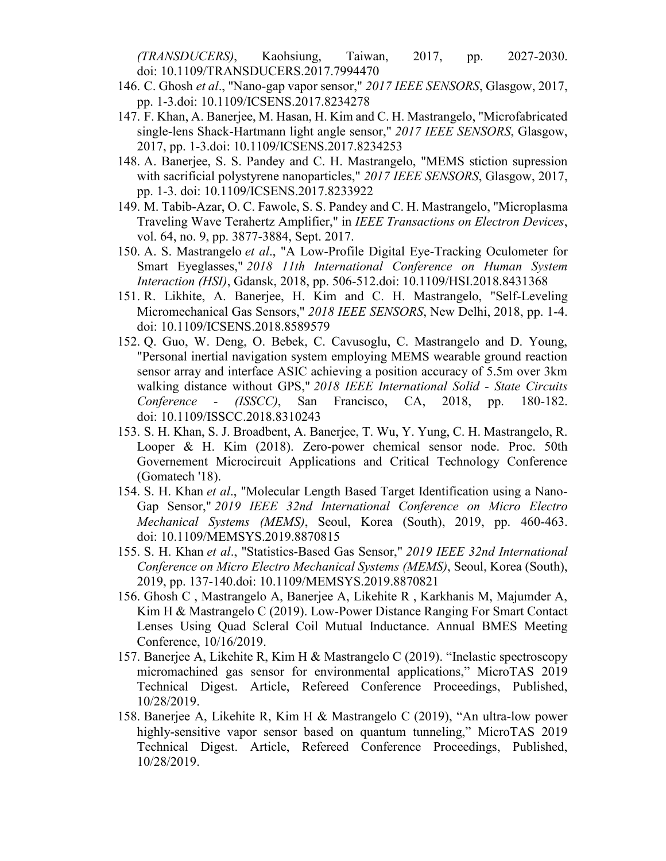*(TRANSDUCERS)*, Kaohsiung, Taiwan, 2017, pp. 2027-2030. doi: 10.1109/TRANSDUCERS.2017.7994470

- 146. C. Ghosh *et al*., "Nano-gap vapor sensor," *2017 IEEE SENSORS*, Glasgow, 2017, pp. 1-3.doi: 10.1109/ICSENS.2017.8234278
- 147. F. Khan, A. Banerjee, M. Hasan, H. Kim and C. H. Mastrangelo, "Microfabricated single-lens Shack-Hartmann light angle sensor," *2017 IEEE SENSORS*, Glasgow, 2017, pp. 1-3.doi: 10.1109/ICSENS.2017.8234253
- 148. A. Banerjee, S. S. Pandey and C. H. Mastrangelo, "MEMS stiction supression with sacrificial polystyrene nanoparticles," *2017 IEEE SENSORS*, Glasgow, 2017, pp. 1-3. doi: 10.1109/ICSENS.2017.8233922
- 149. M. Tabib-Azar, O. C. Fawole, S. S. Pandey and C. H. Mastrangelo, "Microplasma Traveling Wave Terahertz Amplifier," in *IEEE Transactions on Electron Devices*, vol. 64, no. 9, pp. 3877-3884, Sept. 2017.
- 150. A. S. Mastrangelo *et al*., "A Low-Profile Digital Eye-Tracking Oculometer for Smart Eyeglasses," *2018 11th International Conference on Human System Interaction (HSI)*, Gdansk, 2018, pp. 506-512.doi: 10.1109/HSI.2018.8431368
- 151. R. Likhite, A. Banerjee, H. Kim and C. H. Mastrangelo, "Self-Leveling Micromechanical Gas Sensors," *2018 IEEE SENSORS*, New Delhi, 2018, pp. 1-4. doi: 10.1109/ICSENS.2018.8589579
- 152. Q. Guo, W. Deng, O. Bebek, C. Cavusoglu, C. Mastrangelo and D. Young, "Personal inertial navigation system employing MEMS wearable ground reaction sensor array and interface ASIC achieving a position accuracy of 5.5m over 3km walking distance without GPS," *2018 IEEE International Solid - State Circuits Conference - (ISSCC)*, San Francisco, CA, 2018, pp. 180-182. doi: 10.1109/ISSCC.2018.8310243
- 153. S. H. Khan, S. J. Broadbent, A. Banerjee, T. Wu, Y. Yung, C. H. Mastrangelo, R. Looper & H. Kim (2018). Zero-power chemical sensor node. Proc. 50th Governement Microcircuit Applications and Critical Technology Conference (Gomatech '18).
- 154. S. H. Khan *et al*., "Molecular Length Based Target Identification using a Nano-Gap Sensor," *2019 IEEE 32nd International Conference on Micro Electro Mechanical Systems (MEMS)*, Seoul, Korea (South), 2019, pp. 460-463. doi: 10.1109/MEMSYS.2019.8870815
- 155. S. H. Khan *et al*., "Statistics-Based Gas Sensor," *2019 IEEE 32nd International Conference on Micro Electro Mechanical Systems (MEMS)*, Seoul, Korea (South), 2019, pp. 137-140.doi: 10.1109/MEMSYS.2019.8870821
- 156. Ghosh C , Mastrangelo A, Banerjee A, Likehite R , Karkhanis M, Majumder A, Kim H & Mastrangelo C (2019). Low-Power Distance Ranging For Smart Contact Lenses Using Quad Scleral Coil Mutual Inductance. Annual BMES Meeting Conference, 10/16/2019.
- 157. Banerjee A, Likehite R, Kim H & Mastrangelo C (2019). "Inelastic spectroscopy micromachined gas sensor for environmental applications," MicroTAS 2019 Technical Digest. Article, Refereed Conference Proceedings, Published, 10/28/2019.
- 158. Banerjee A, Likehite R, Kim H & Mastrangelo C (2019), "An ultra-low power highly-sensitive vapor sensor based on quantum tunneling," MicroTAS 2019 Technical Digest. Article, Refereed Conference Proceedings, Published, 10/28/2019.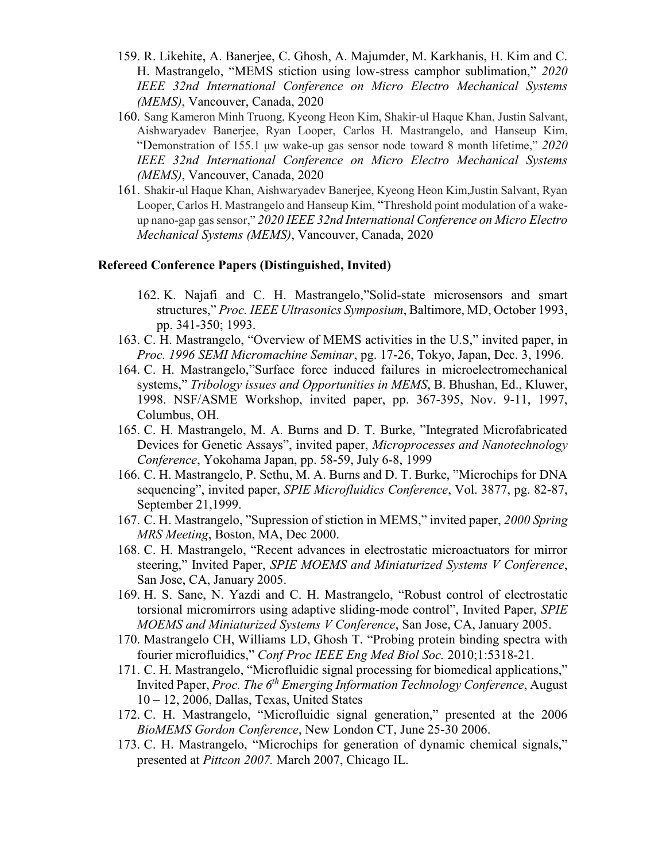- 159. R. Likehite, A. Banerjee, C. Ghosh, A. Majumder, M. Karkhanis, H. Kim and C. H. Mastrangelo, "MEMS stiction using low-stress camphor sublimation," *2020 IEEE 32nd International Conference on Micro Electro Mechanical Systems (MEMS)*, Vancouver, Canada, 2020
- 160. Sang Kameron Minh Truong, Kyeong Heon Kim, Shakir-ul Haque Khan, Justin Salvant, Aishwaryadev Banerjee, Ryan Looper, Carlos H. Mastrangelo, and Hanseup Kim, "Demonstration of 155.1 μw wake-up gas sensor node toward 8 month lifetime," *2020 IEEE 32nd International Conference on Micro Electro Mechanical Systems (MEMS)*, Vancouver, Canada, 2020
- 161. Shakir-ul Haque Khan, Aishwaryadev Banerjee, Kyeong Heon Kim,Justin Salvant, Ryan Looper, Carlos H. Mastrangelo and Hanseup Kim, "Threshold point modulation of a wakeup nano-gap gas sensor," *2020 IEEE 32nd International Conference on Micro Electro Mechanical Systems (MEMS)*, Vancouver, Canada, 2020

#### **Refereed Conference Papers (Distinguished, Invited)**

- 162. K. Najafi and C. H. Mastrangelo,"Solid-state microsensors and smart structures," *Proc. IEEE Ultrasonics Symposium*, Baltimore, MD, October 1993, pp. 341-350; 1993.
- 163. C. H. Mastrangelo, "Overview of MEMS activities in the U.S," invited paper, in *Proc. 1996 SEMI Micromachine Seminar*, pg. 17-26, Tokyo, Japan, Dec. 3, 1996.
- 164. C. H. Mastrangelo,"Surface force induced failures in microelectromechanical systems," *Tribology issues and Opportunities in MEMS*, B. Bhushan, Ed., Kluwer, 1998. NSF/ASME Workshop, invited paper, pp. 367-395, Nov. 9-11, 1997, Columbus, OH.
- 165. C. H. Mastrangelo, M. A. Burns and D. T. Burke, "Integrated Microfabricated Devices for Genetic Assays", invited paper, *Microprocesses and Nanotechnology Conference*, Yokohama Japan, pp. 58-59, July 6-8, 1999
- 166. C. H. Mastrangelo, P. Sethu, M. A. Burns and D. T. Burke, "Microchips for DNA sequencing", invited paper, *SPIE Microfluidics Conference*, Vol. 3877, pg. 82-87, September 21,1999.
- 167. C. H. Mastrangelo, "Supression of stiction in MEMS," invited paper, *2000 Spring MRS Meeting*, Boston, MA, Dec 2000.
- 168. C. H. Mastrangelo, "Recent advances in electrostatic microactuators for mirror steering," Invited Paper, *SPIE MOEMS and Miniaturized Systems V Conference*, San Jose, CA, January 2005.
- 169. H. S. Sane, N. Yazdi and C. H. Mastrangelo, "Robust control of electrostatic torsional micromirrors using adaptive sliding-mode control", Invited Paper, *SPIE MOEMS and Miniaturized Systems V Conference*, San Jose, CA, January 2005.
- 170. [Mastrangelo CH,](http://www.ncbi.nlm.nih.gov/pubmed?term=%22Mastrangelo%20CH%22%5BAuthor%5D) [Williams LD,](http://www.ncbi.nlm.nih.gov/pubmed?term=%22Williams%20LD%22%5BAuthor%5D) [Ghosh T.](http://www.ncbi.nlm.nih.gov/pubmed?term=%22Ghosh%20T%22%5BAuthor%5D) "Probing protein binding spectra with fourier microfluidics," *[Conf Proc IEEE Eng Med Biol Soc.](javascript:AL_get(this,%20)* 2010;1:5318-21.
- 171. C. H. Mastrangelo, "Microfluidic signal processing for biomedical applications," Invited Paper, *Proc. The 6th Emerging Information Technology Conference*, August 10 – 12, 2006, Dallas, Texas, United States
- 172. C. H. Mastrangelo, "Microfluidic signal generation," presented at the 2006 *BioMEMS Gordon Conference*, New London CT, June 25-30 2006.
- 173. C. H. Mastrangelo, "Microchips for generation of dynamic chemical signals," presented at *Pittcon 2007.* March 2007, Chicago IL.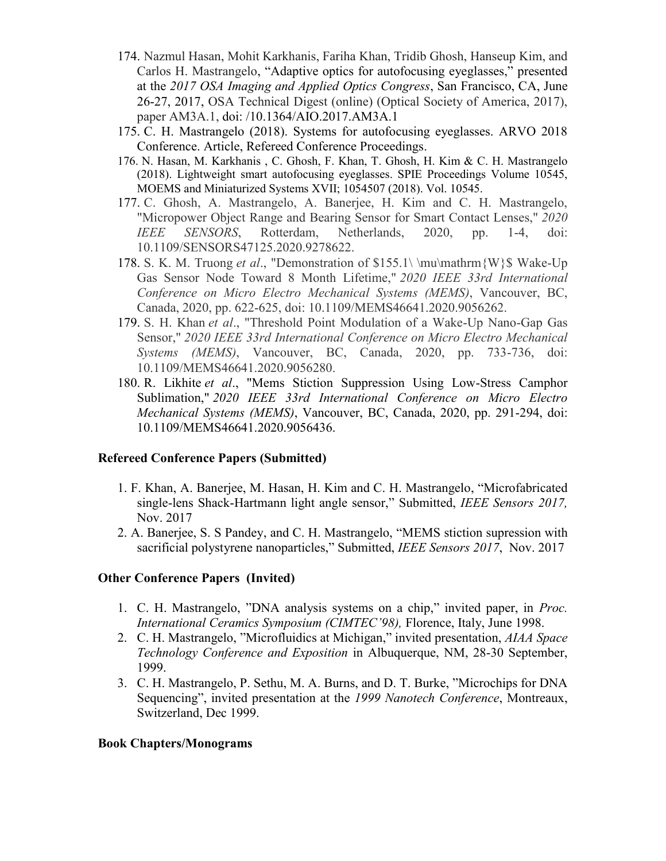- 174. Nazmul Hasan, Mohit Karkhanis, Fariha Khan, Tridib Ghosh, Hanseup Kim, and Carlos H. Mastrangelo, "Adaptive optics for autofocusing eyeglasses," presented at the *2017 OSA Imaging and Applied Optics Congress*, San Francisco, CA, June 26-27, 2017, OSA Technical Digest (online) (Optical Society of America, 2017), paper AM3A.1, [doi: /10.1364/AIO.2017.AM3A.1](https://doi.org/10.1364/AIO.2017.AM3A.1)
- 175. C. H. Mastrangelo (2018). Systems for autofocusing eyeglasses. ARVO 2018 Conference. Article, Refereed Conference Proceedings.
- 176. N. Hasan, M. Karkhanis , C. Ghosh, F. Khan, T. Ghosh, H. Kim & C. H. Mastrangelo (2018). Lightweight smart autofocusing eyeglasses. SPIE Proceedings Volume 10545, MOEMS and Miniaturized Systems XVII; 1054507 (2018). Vol. 10545.
- 177. C. Ghosh, A. Mastrangelo, A. Banerjee, H. Kim and C. H. Mastrangelo, "Micropower Object Range and Bearing Sensor for Smart Contact Lenses," *2020 IEEE SENSORS*, Rotterdam, Netherlands, 2020, pp. 1-4, doi: 10.1109/SENSORS47125.2020.9278622.
- 178. S. K. M. Truong *et al*., "Demonstration of \$155.1\ \mu\mathrm{W}\$ Wake-Up Gas Sensor Node Toward 8 Month Lifetime," *2020 IEEE 33rd International Conference on Micro Electro Mechanical Systems (MEMS)*, Vancouver, BC, Canada, 2020, pp. 622-625, doi: 10.1109/MEMS46641.2020.9056262.
- 179. S. H. Khan *et al*., "Threshold Point Modulation of a Wake-Up Nano-Gap Gas Sensor," *2020 IEEE 33rd International Conference on Micro Electro Mechanical Systems (MEMS)*, Vancouver, BC, Canada, 2020, pp. 733-736, doi: 10.1109/MEMS46641.2020.9056280.
- 180. R. Likhite *et al*., "Mems Stiction Suppression Using Low-Stress Camphor Sublimation," *2020 IEEE 33rd International Conference on Micro Electro Mechanical Systems (MEMS)*, Vancouver, BC, Canada, 2020, pp. 291-294, doi: 10.1109/MEMS46641.2020.9056436.

## **Refereed Conference Papers (Submitted)**

- 1. F. Khan, A. Banerjee, M. Hasan, H. Kim and C. H. Mastrangelo, "Microfabricated single-lens Shack-Hartmann light angle sensor," Submitted, *IEEE Sensors 2017,*  Nov. 2017
- 2. A. Banerjee, S. S Pandey, and C. H. Mastrangelo, "MEMS stiction supression with sacrificial polystyrene nanoparticles," Submitted, *IEEE Sensors 2017*, Nov. 2017

#### **Other Conference Papers (Invited)**

- 1. C. H. Mastrangelo, "DNA analysis systems on a chip," invited paper, in *Proc. International Ceramics Symposium (CIMTEC'98),* Florence, Italy, June 1998.
- 2. C. H. Mastrangelo, "Microfluidics at Michigan," invited presentation, *AIAA Space Technology Conference and Exposition* in Albuquerque, NM, 28-30 September, 1999.
- 3. C. H. Mastrangelo, P. Sethu, M. A. Burns, and D. T. Burke, "Microchips for DNA Sequencing", invited presentation at the *1999 Nanotech Conference*, Montreaux, Switzerland, Dec 1999.

#### **Book Chapters/Monograms**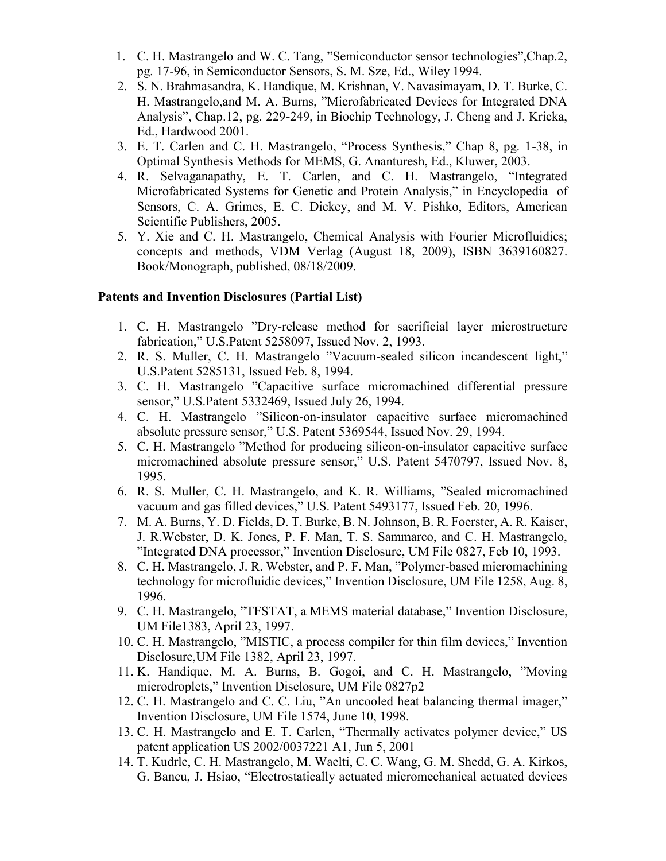- 1. C. H. Mastrangelo and W. C. Tang, "Semiconductor sensor technologies",Chap.2, pg. 17-96, in Semiconductor Sensors, S. M. Sze, Ed., Wiley 1994.
- 2. S. N. Brahmasandra, K. Handique, M. Krishnan, V. Navasimayam, D. T. Burke, C. H. Mastrangelo,and M. A. Burns, "Microfabricated Devices for Integrated DNA Analysis", Chap.12, pg. 229-249, in Biochip Technology, J. Cheng and J. Kricka, Ed., Hardwood 2001.
- 3. E. T. Carlen and C. H. Mastrangelo, "Process Synthesis," Chap 8, pg. 1-38, in Optimal Synthesis Methods for MEMS, G. Ananturesh, Ed., Kluwer, 2003.
- 4. R. Selvaganapathy, E. T. Carlen, and C. H. Mastrangelo, "Integrated Microfabricated Systems for Genetic and Protein Analysis," in Encyclopedia of Sensors, C. A. Grimes, E. C. Dickey, and M. V. Pishko, Editors, American Scientific Publishers, 2005.
- 5. Y. Xie and C. H. Mastrangelo, Chemical Analysis with Fourier Microfluidics; concepts and methods, VDM Verlag (August 18, 2009), ISBN 3639160827. Book/Monograph, published, 08/18/2009.

## **Patents and Invention Disclosures (Partial List)**

- 1. C. H. Mastrangelo "Dry-release method for sacrificial layer microstructure fabrication," U.S.Patent 5258097, Issued Nov. 2, 1993.
- 2. R. S. Muller, C. H. Mastrangelo "Vacuum-sealed silicon incandescent light," U.S.Patent 5285131, Issued Feb. 8, 1994.
- 3. C. H. Mastrangelo "Capacitive surface micromachined differential pressure sensor," U.S.Patent 5332469, Issued July 26, 1994.
- 4. C. H. Mastrangelo "Silicon-on-insulator capacitive surface micromachined absolute pressure sensor," U.S. Patent 5369544, Issued Nov. 29, 1994.
- 5. C. H. Mastrangelo "Method for producing silicon-on-insulator capacitive surface micromachined absolute pressure sensor," U.S. Patent 5470797, Issued Nov. 8, 1995.
- 6. R. S. Muller, C. H. Mastrangelo, and K. R. Williams, "Sealed micromachined vacuum and gas filled devices," U.S. Patent 5493177, Issued Feb. 20, 1996.
- 7. M. A. Burns, Y. D. Fields, D. T. Burke, B. N. Johnson, B. R. Foerster, A. R. Kaiser, J. R.Webster, D. K. Jones, P. F. Man, T. S. Sammarco, and C. H. Mastrangelo, "Integrated DNA processor," Invention Disclosure, UM File 0827, Feb 10, 1993.
- 8. C. H. Mastrangelo, J. R. Webster, and P. F. Man, "Polymer-based micromachining technology for microfluidic devices," Invention Disclosure, UM File 1258, Aug. 8, 1996.
- 9. C. H. Mastrangelo, "TFSTAT, a MEMS material database," Invention Disclosure, UM File1383, April 23, 1997.
- 10. C. H. Mastrangelo, "MISTIC, a process compiler for thin film devices," Invention Disclosure,UM File 1382, April 23, 1997.
- 11. K. Handique, M. A. Burns, B. Gogoi, and C. H. Mastrangelo, "Moving microdroplets," Invention Disclosure, UM File 0827p2
- 12. C. H. Mastrangelo and C. C. Liu, "An uncooled heat balancing thermal imager," Invention Disclosure, UM File 1574, June 10, 1998.
- 13. C. H. Mastrangelo and E. T. Carlen, "Thermally activates polymer device," US patent application US 2002/0037221 A1, Jun 5, 2001
- 14. T. Kudrle, C. H. Mastrangelo, M. Waelti, C. C. Wang, G. M. Shedd, G. A. Kirkos, G. Bancu, J. Hsiao, "Electrostatically actuated micromechanical actuated devices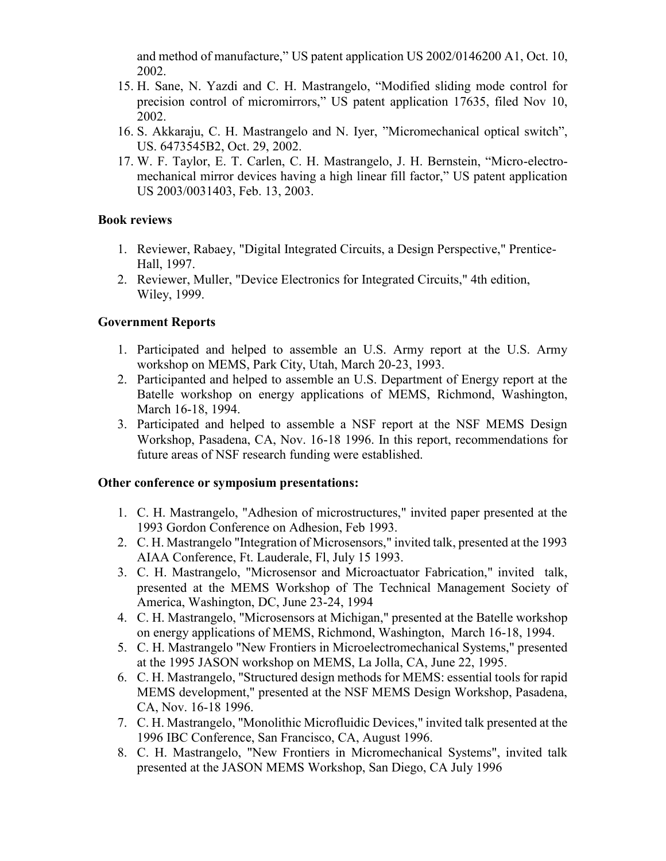and method of manufacture," US patent application US 2002/0146200 A1, Oct. 10, 2002.

- 15. H. Sane, N. Yazdi and C. H. Mastrangelo, "Modified sliding mode control for precision control of micromirrors," US patent application 17635, filed Nov 10, 2002.
- 16. S. Akkaraju, C. H. Mastrangelo and N. Iyer, "Micromechanical optical switch", US. 6473545B2, Oct. 29, 2002.
- 17. W. F. Taylor, E. T. Carlen, C. H. Mastrangelo, J. H. Bernstein, "Micro-electromechanical mirror devices having a high linear fill factor," US patent application US 2003/0031403, Feb. 13, 2003.

## **Book reviews**

- 1. Reviewer, Rabaey, "Digital Integrated Circuits, a Design Perspective," Prentice-Hall, 1997.
- 2. Reviewer, Muller, "Device Electronics for Integrated Circuits," 4th edition, Wiley, 1999.

## **Government Reports**

- 1. Participated and helped to assemble an U.S. Army report at the U.S. Army workshop on MEMS, Park City, Utah, March 20-23, 1993.
- 2. Participanted and helped to assemble an U.S. Department of Energy report at the Batelle workshop on energy applications of MEMS, Richmond, Washington, March 16-18, 1994.
- 3. Participated and helped to assemble a NSF report at the NSF MEMS Design Workshop, Pasadena, CA, Nov. 16-18 1996. In this report, recommendations for future areas of NSF research funding were established.

## **Other conference or symposium presentations:**

- 1. C. H. Mastrangelo, "Adhesion of microstructures," invited paper presented at the 1993 Gordon Conference on Adhesion, Feb 1993.
- 2. C. H. Mastrangelo "Integration of Microsensors," invited talk, presented at the 1993 AIAA Conference, Ft. Lauderale, Fl, July 15 1993.
- 3. C. H. Mastrangelo, "Microsensor and Microactuator Fabrication," invited talk, presented at the MEMS Workshop of The Technical Management Society of America, Washington, DC, June 23-24, 1994
- 4. C. H. Mastrangelo, "Microsensors at Michigan," presented at the Batelle workshop on energy applications of MEMS, Richmond, Washington, March 16-18, 1994.
- 5. C. H. Mastrangelo "New Frontiers in Microelectromechanical Systems," presented at the 1995 JASON workshop on MEMS, La Jolla, CA, June 22, 1995.
- 6. C. H. Mastrangelo, "Structured design methods for MEMS: essential tools for rapid MEMS development," presented at the NSF MEMS Design Workshop, Pasadena, CA, Nov. 16-18 1996.
- 7. C. H. Mastrangelo, "Monolithic Microfluidic Devices," invited talk presented at the 1996 IBC Conference, San Francisco, CA, August 1996.
- 8. C. H. Mastrangelo, "New Frontiers in Micromechanical Systems", invited talk presented at the JASON MEMS Workshop, San Diego, CA July 1996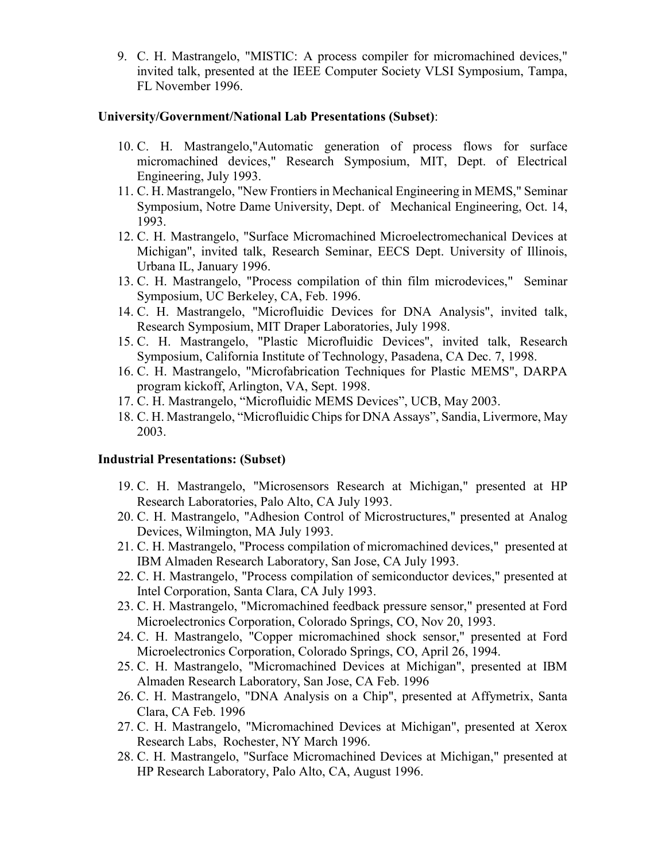9. C. H. Mastrangelo, "MISTIC: A process compiler for micromachined devices," invited talk, presented at the IEEE Computer Society VLSI Symposium, Tampa, FL November 1996.

### **University/Government/National Lab Presentations (Subset)**:

- 10. C. H. Mastrangelo,"Automatic generation of process flows for surface micromachined devices," Research Symposium, MIT, Dept. of Electrical Engineering, July 1993.
- 11. C. H. Mastrangelo, "New Frontiers in Mechanical Engineering in MEMS," Seminar Symposium, Notre Dame University, Dept. of Mechanical Engineering, Oct. 14, 1993.
- 12. C. H. Mastrangelo, "Surface Micromachined Microelectromechanical Devices at Michigan", invited talk, Research Seminar, EECS Dept. University of Illinois, Urbana IL, January 1996.
- 13. C. H. Mastrangelo, "Process compilation of thin film microdevices," Seminar Symposium, UC Berkeley, CA, Feb. 1996.
- 14. C. H. Mastrangelo, "Microfluidic Devices for DNA Analysis", invited talk, Research Symposium, MIT Draper Laboratories, July 1998.
- 15. C. H. Mastrangelo, "Plastic Microfluidic Devices", invited talk, Research Symposium, California Institute of Technology, Pasadena, CA Dec. 7, 1998.
- 16. C. H. Mastrangelo, "Microfabrication Techniques for Plastic MEMS", DARPA program kickoff, Arlington, VA, Sept. 1998.
- 17. C. H. Mastrangelo, "Microfluidic MEMS Devices", UCB, May 2003.
- 18. C. H. Mastrangelo, "Microfluidic Chips for DNA Assays", Sandia, Livermore, May 2003.

#### **Industrial Presentations: (Subset)**

- 19. C. H. Mastrangelo, "Microsensors Research at Michigan," presented at HP Research Laboratories, Palo Alto, CA July 1993.
- 20. C. H. Mastrangelo, "Adhesion Control of Microstructures," presented at Analog Devices, Wilmington, MA July 1993.
- 21. C. H. Mastrangelo, "Process compilation of micromachined devices," presented at IBM Almaden Research Laboratory, San Jose, CA July 1993.
- 22. C. H. Mastrangelo, "Process compilation of semiconductor devices," presented at Intel Corporation, Santa Clara, CA July 1993.
- 23. C. H. Mastrangelo, "Micromachined feedback pressure sensor," presented at Ford Microelectronics Corporation, Colorado Springs, CO, Nov 20, 1993.
- 24. C. H. Mastrangelo, "Copper micromachined shock sensor," presented at Ford Microelectronics Corporation, Colorado Springs, CO, April 26, 1994.
- 25. C. H. Mastrangelo, "Micromachined Devices at Michigan", presented at IBM Almaden Research Laboratory, San Jose, CA Feb. 1996
- 26. C. H. Mastrangelo, "DNA Analysis on a Chip", presented at Affymetrix, Santa Clara, CA Feb. 1996
- 27. C. H. Mastrangelo, "Micromachined Devices at Michigan", presented at Xerox Research Labs, Rochester, NY March 1996.
- 28. C. H. Mastrangelo, "Surface Micromachined Devices at Michigan," presented at HP Research Laboratory, Palo Alto, CA, August 1996.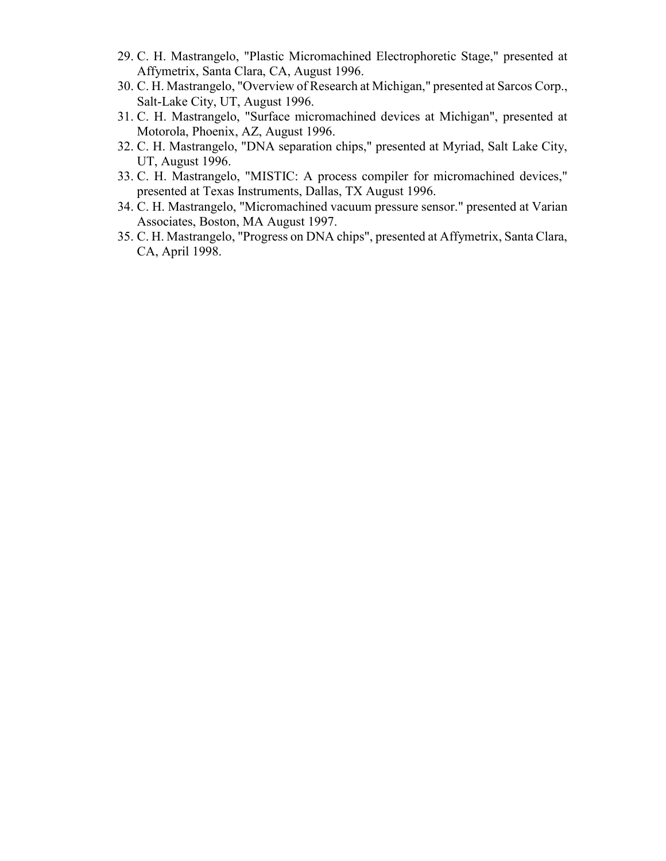- 29. C. H. Mastrangelo, "Plastic Micromachined Electrophoretic Stage," presented at Affymetrix, Santa Clara, CA, August 1996.
- 30. C. H. Mastrangelo, "Overview of Research at Michigan," presented at Sarcos Corp., Salt-Lake City, UT, August 1996.
- 31. C. H. Mastrangelo, "Surface micromachined devices at Michigan", presented at Motorola, Phoenix, AZ, August 1996.
- 32. C. H. Mastrangelo, "DNA separation chips," presented at Myriad, Salt Lake City, UT, August 1996.
- 33. C. H. Mastrangelo, "MISTIC: A process compiler for micromachined devices," presented at Texas Instruments, Dallas, TX August 1996.
- 34. C. H. Mastrangelo, "Micromachined vacuum pressure sensor." presented at Varian Associates, Boston, MA August 1997.
- 35. C. H. Mastrangelo, "Progress on DNA chips", presented at Affymetrix, Santa Clara, CA, April 1998.